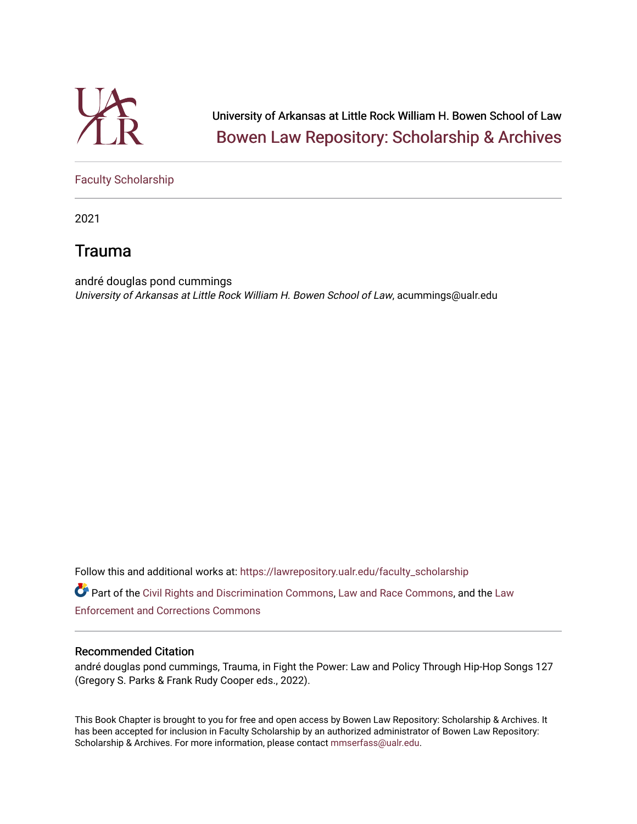

University of Arkansas at Little Rock William H. Bowen School of Law [Bowen Law Repository: Scholarship & Archives](https://lawrepository.ualr.edu/) 

#### [Faculty Scholarship](https://lawrepository.ualr.edu/faculty_scholarship)

2021

#### Trauma

andré douglas pond cummings University of Arkansas at Little Rock William H. Bowen School of Law, acummings@ualr.edu

Follow this and additional works at: [https://lawrepository.ualr.edu/faculty\\_scholarship](https://lawrepository.ualr.edu/faculty_scholarship?utm_source=lawrepository.ualr.edu%2Ffaculty_scholarship%2F284&utm_medium=PDF&utm_campaign=PDFCoverPages) 

Part of the [Civil Rights and Discrimination Commons,](https://network.bepress.com/hgg/discipline/585?utm_source=lawrepository.ualr.edu%2Ffaculty_scholarship%2F284&utm_medium=PDF&utm_campaign=PDFCoverPages) [Law and Race Commons,](https://network.bepress.com/hgg/discipline/1300?utm_source=lawrepository.ualr.edu%2Ffaculty_scholarship%2F284&utm_medium=PDF&utm_campaign=PDFCoverPages) and the [Law](https://network.bepress.com/hgg/discipline/854?utm_source=lawrepository.ualr.edu%2Ffaculty_scholarship%2F284&utm_medium=PDF&utm_campaign=PDFCoverPages) [Enforcement and Corrections Commons](https://network.bepress.com/hgg/discipline/854?utm_source=lawrepository.ualr.edu%2Ffaculty_scholarship%2F284&utm_medium=PDF&utm_campaign=PDFCoverPages) 

#### Recommended Citation

andré douglas pond cummings, Trauma, in Fight the Power: Law and Policy Through Hip-Hop Songs 127 (Gregory S. Parks & Frank Rudy Cooper eds., 2022).

This Book Chapter is brought to you for free and open access by Bowen Law Repository: Scholarship & Archives. It has been accepted for inclusion in Faculty Scholarship by an authorized administrator of Bowen Law Repository: Scholarship & Archives. For more information, please contact [mmserfass@ualr.edu](mailto:mmserfass@ualr.edu).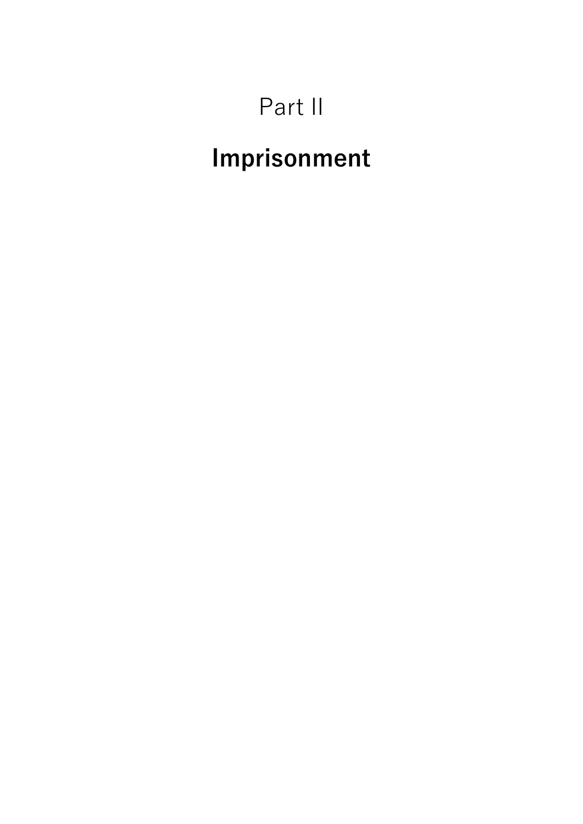# Part II

# **Imprisonment**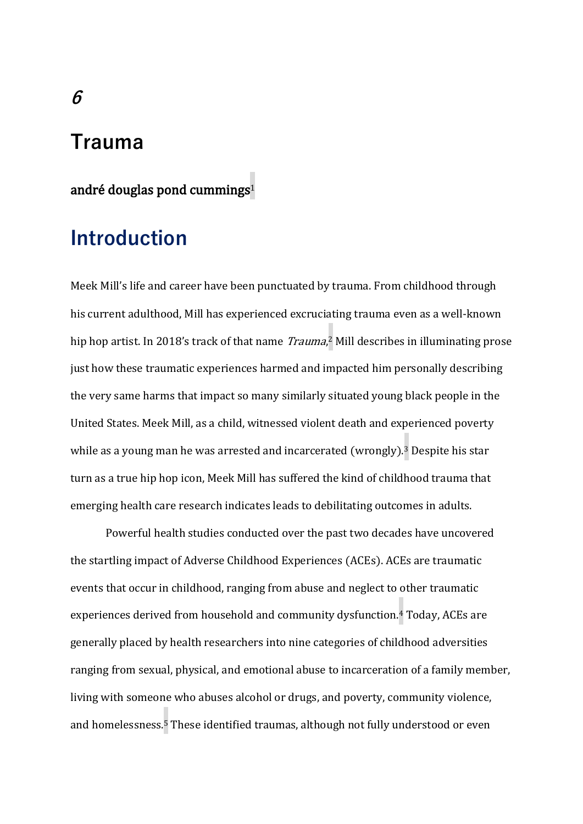## **Trauma**

#### andré douglas pond cummings<sup>1</sup>

## **Introduction**

Meek Mill's life and career have been punctuated by trauma. From childhood through his current adulthood, Mill has experienced excruciating trauma even as a well-known hip hop artist. In 2018's track of that name *Trauma*,<sup>2</sup> Mill describes in illuminating prose just how these traumatic experiences harmed and impacted him personally describing the very same harms that impact so many similarly situated young black people in the United States. Meek Mill, as a child, witnessed violent death and experienced poverty while as a young man he was arrested and incarcerated (wrongly).<sup>3</sup> Despite his star turn as a true hip hop icon, Meek Mill has suffered the kind of childhood trauma that emerging health care research indicates leads to debilitating outcomes in adults.

Powerful health studies conducted over the past two decades have uncovered the startling impact of Adverse Childhood Experiences (ACEs). ACEs are traumatic events that occur in childhood, ranging from abuse and neglect to other traumatic experiences derived from household and community dysfunction.<sup>4</sup> Today, ACEs are generally placed by health researchers into nine categories of childhood adversities ranging from sexual, physical, and emotional abuse to incarceration of a family member, living with someone who abuses alcohol or drugs, and poverty, community violence, and homelessness.<sup>5</sup> These identified traumas, although not fully understood or even

#### **6**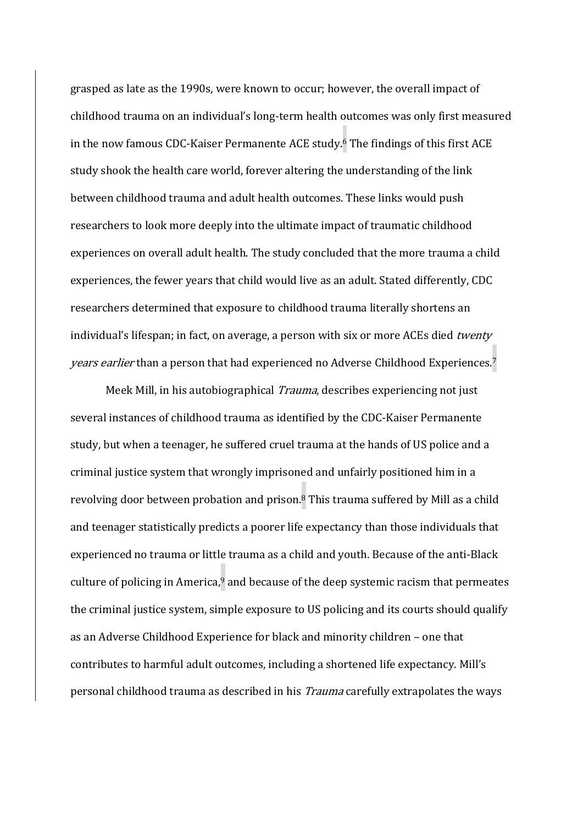grasped as late as the 1990s, were known to occur; however, the overall impact of childhood trauma on an individual's long-term health outcomes was only first measured in the now famous CDC-Kaiser Permanente ACE study.<sup>6</sup> The findings of this first ACE study shook the health care world, forever altering the understanding of the link between childhood trauma and adult health outcomes. These links would push researchers to look more deeply into the ultimate impact of traumatic childhood experiences on overall adult health. The study concluded that the more trauma a child experiences, the fewer years that child would live as an adult. Stated differently, CDC researchers determined that exposure to childhood trauma literally shortens an individual's lifespan; in fact, on average, a person with six or more ACEs died *twenty* years earlier than a person that had experienced no Adverse Childhood Experiences.<sup>7</sup>

Meek Mill, in his autobiographical Trauma, describes experiencing not just several instances of childhood trauma as identified by the CDC-Kaiser Permanente study, but when a teenager, he suffered cruel trauma at the hands of US police and a criminal justice system that wrongly imprisoned and unfairly positioned him in a revolving door between probation and prison.<sup>8</sup> This trauma suffered by Mill as a child and teenager statistically predicts a poorer life expectancy than those individuals that experienced no trauma or little trauma as a child and youth. Because of the anti-Black culture of policing in America, $9$  and because of the deep systemic racism that permeates the criminal justice system, simple exposure to US policing and its courts should qualify as an Adverse Childhood Experience for black and minority children – one that contributes to harmful adult outcomes, including a shortened life expectancy. Mill's personal childhood trauma as described in his Trauma carefully extrapolates the ways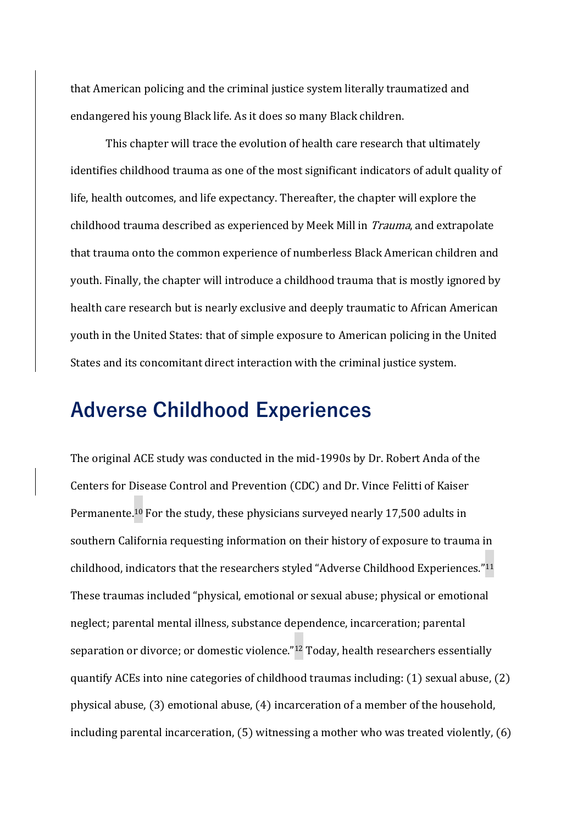that American policing and the criminal justice system literally traumatized and endangered his young Black life. As it does so many Black children.

This chapter will trace the evolution of health care research that ultimately identifies childhood trauma as one of the most significant indicators of adult quality of life, health outcomes, and life expectancy. Thereafter, the chapter will explore the childhood trauma described as experienced by Meek Mill in *Trauma*, and extrapolate that trauma onto the common experience of numberless Black American children and youth. Finally, the chapter will introduce a childhood trauma that is mostly ignored by health care research but is nearly exclusive and deeply traumatic to African American youth in the United States: that of simple exposure to American policing in the United States and its concomitant direct interaction with the criminal justice system.

## **Adverse Childhood Experiences**

The original ACE study was conducted in the mid-1990s by Dr. Robert Anda of the Centers for Disease Control and Prevention (CDC) and Dr. Vince Felitti of Kaiser Permanente.<sup>10</sup> For the study, these physicians surveyed nearly 17,500 adults in southern California requesting information on their history of exposure to trauma in childhood, indicators that the researchers styled "Adverse Childhood Experiences."<sup>11</sup> These traumas included "physical, emotional or sexual abuse; physical or emotional neglect; parental mental illness, substance dependence, incarceration; parental separation or divorce; or domestic violence."<sup>12</sup> Today, health researchers essentially quantify ACEs into nine categories of childhood traumas including: (1) sexual abuse, (2) physical abuse, (3) emotional abuse, (4) incarceration of a member of the household, including parental incarceration, (5) witnessing a mother who was treated violently, (6)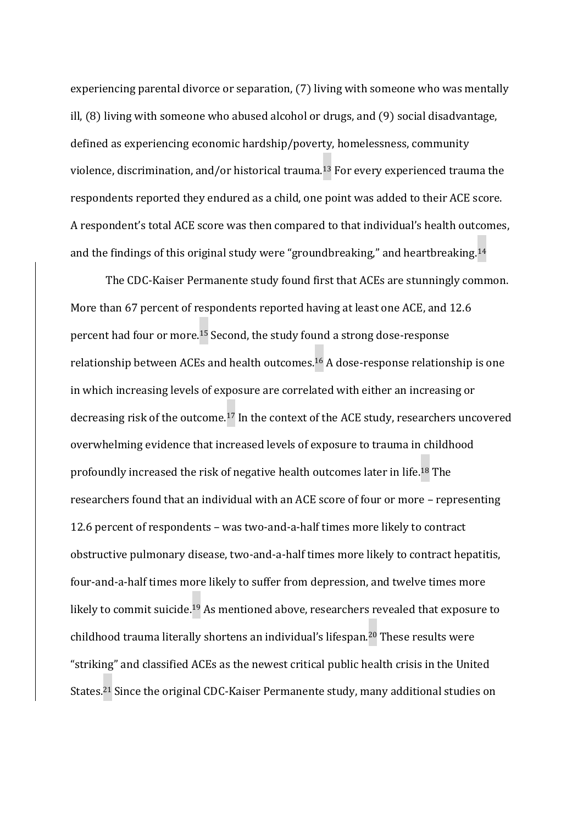experiencing parental divorce or separation, (7) living with someone who was mentally ill, (8) living with someone who abused alcohol or drugs, and (9) social disadvantage, defined as experiencing economic hardship/poverty, homelessness, community violence, discrimination, and/or historical trauma.<sup>13</sup> For every experienced trauma the respondents reported they endured as a child, one point was added to their ACE score. A respondent's total ACE score was then compared to that individual's health outcomes, and the findings of this original study were "groundbreaking," and heartbreaking.<sup>14</sup>

The CDC-Kaiser Permanente study found first that ACEs are stunningly common. More than 67 percent of respondents reported having at least one ACE, and 12.6 percent had four or more.<sup>15</sup> Second, the study found a strong dose-response relationship between ACEs and health outcomes.<sup>16</sup> A dose-response relationship is one in which increasing levels of exposure are correlated with either an increasing or decreasing risk of the outcome.<sup>17</sup> In the context of the ACE study, researchers uncovered overwhelming evidence that increased levels of exposure to trauma in childhood profoundly increased the risk of negative health outcomes later in life.<sup>18</sup> The researchers found that an individual with an ACE score of four or more – representing 12.6 percent of respondents – was two-and-a-half times more likely to contract obstructive pulmonary disease, two-and-a-half times more likely to contract hepatitis, four-and-a-half times more likely to suffer from depression, and twelve times more likely to commit suicide.<sup>19</sup> As mentioned above, researchers revealed that exposure to childhood trauma literally shortens an individual's lifespan.<sup>20</sup> These results were "striking" and classified ACEs as the newest critical public health crisis in the United States.<sup>21</sup> Since the original CDC-Kaiser Permanente study, many additional studies on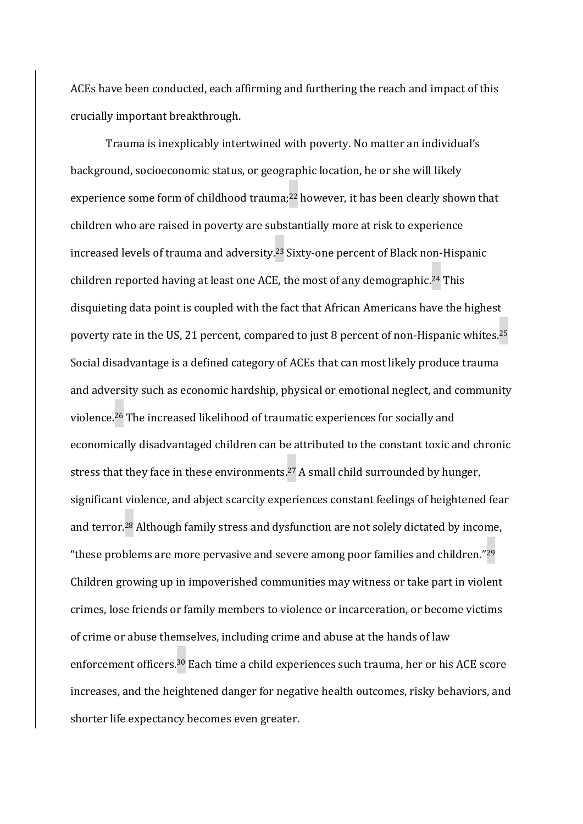ACEs have been conducted, each affirming and furthering the reach and impact of this crucially important breakthrough.

Trauma is inexplicably intertwined with poverty. No matter an individual's background, socioeconomic status, or geographic location, he or she will likely experience some form of childhood trauma;<sup>22</sup> however, it has been clearly shown that children who are raised in poverty are substantially more at risk to experience increased levels of trauma and adversity.<sup>23</sup> Sixty-one percent of Black non-Hispanic children reported having at least one ACE, the most of any demographic.<sup>24</sup> This disquieting data point is coupled with the fact that African Americans have the highest poverty rate in the US, 21 percent, compared to just 8 percent of non-Hispanic whites.<sup>25</sup> Social disadvantage is a defined category of ACEs that can most likely produce trauma and adversity such as economic hardship, physical or emotional neglect, and community violence.<sup>26</sup> The increased likelihood of traumatic experiences for socially and economically disadvantaged children can be attributed to the constant toxic and chronic stress that they face in these environments.<sup>27</sup> A small child surrounded by hunger, significant violence, and abject scarcity experiences constant feelings of heightened fear and terror.<sup>28</sup> Although family stress and dysfunction are not solely dictated by income, "these problems are more pervasive and severe among poor families and children."<sup>29</sup> Children growing up in impoverished communities may witness or take part in violent crimes, lose friends or family members to violence or incarceration, or become victims of crime or abuse themselves, including crime and abuse at the hands of law enforcement officers.<sup>30</sup> Each time a child experiences such trauma, her or his ACE score increases, and the heightened danger for negative health outcomes, risky behaviors, and shorter life expectancy becomes even greater.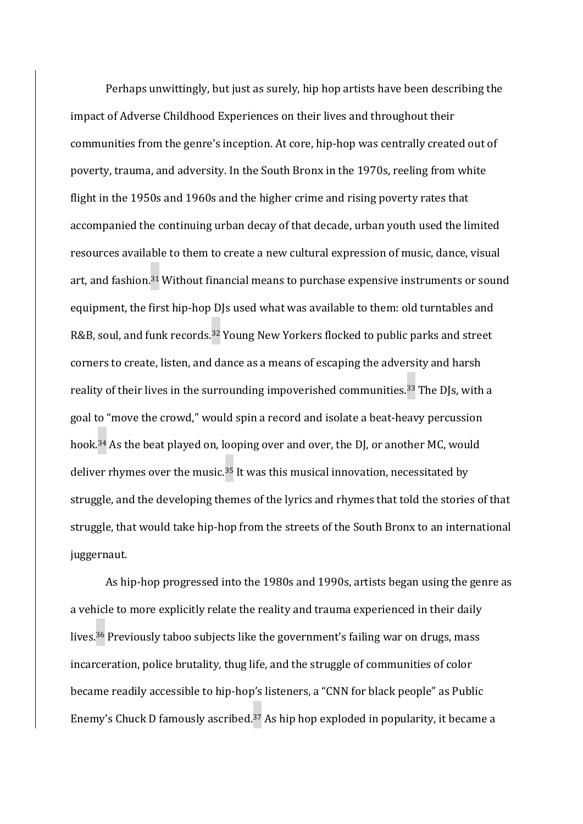Perhaps unwittingly, but just as surely, hip hop artists have been describing the impact of Adverse Childhood Experiences on their lives and throughout their communities from the genre's inception. At core, hip-hop was centrally created out of poverty, trauma, and adversity. In the South Bronx in the 1970s, reeling from white flight in the 1950s and 1960s and the higher crime and rising poverty rates that accompanied the continuing urban decay of that decade, urban youth used the limited resources available to them to create a new cultural expression of music, dance, visual art, and fashion.<sup>31</sup> Without financial means to purchase expensive instruments or sound equipment, the first hip-hop DJs used what was available to them: old turntables and R&B, soul, and funk records.<sup>32</sup> Young New Yorkers flocked to public parks and street corners to create, listen, and dance as a means of escaping the adversity and harsh reality of their lives in the surrounding impoverished communities.<sup>33</sup> The DJs, with a goal to "move the crowd," would spin a record and isolate a beat-heavy percussion hook.<sup>34</sup> As the beat played on, looping over and over, the DJ, or another MC, would deliver rhymes over the music.<sup>35</sup> It was this musical innovation, necessitated by struggle, and the developing themes of the lyrics and rhymes that told the stories of that struggle, that would take hip-hop from the streets of the South Bronx to an international juggernaut.

As hip-hop progressed into the 1980s and 1990s, artists began using the genre as a vehicle to more explicitly relate the reality and trauma experienced in their daily lives.<sup>36</sup> Previously taboo subjects like the government's failing war on drugs, mass incarceration, police brutality, thug life, and the struggle of communities of color became readily accessible to hip-hop's listeners, a "CNN for black people" as Public Enemy's Chuck D famously ascribed.<sup>37</sup> As hip hop exploded in popularity, it became a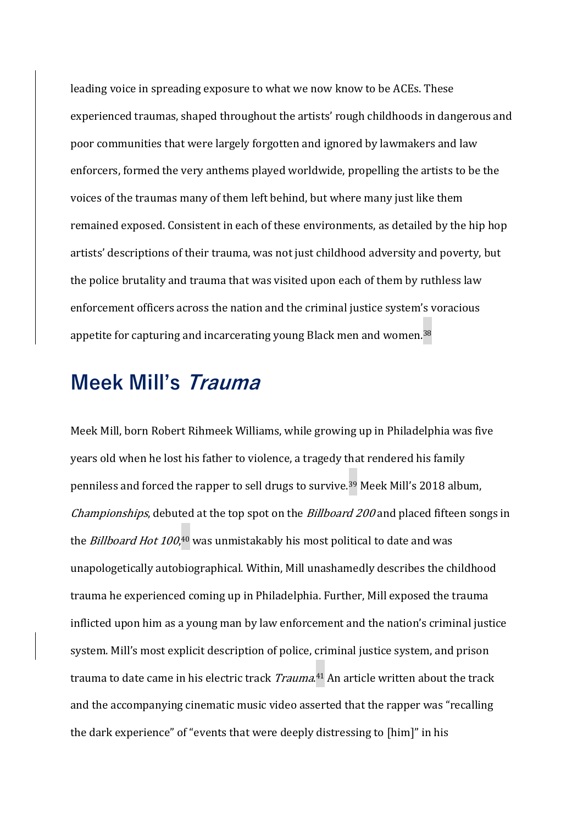leading voice in spreading exposure to what we now know to be ACEs. These experienced traumas, shaped throughout the artists' rough childhoods in dangerous and poor communities that were largely forgotten and ignored by lawmakers and law enforcers, formed the very anthems played worldwide, propelling the artists to be the voices of the traumas many of them left behind, but where many just like them remained exposed. Consistent in each of these environments, as detailed by the hip hop artists' descriptions of their trauma, was not just childhood adversity and poverty, but the police brutality and trauma that was visited upon each of them by ruthless law enforcement officers across the nation and the criminal justice system's voracious appetite for capturing and incarcerating young Black men and women.<sup>38</sup>

#### **Meek Mill's Trauma**

Meek Mill, born Robert Rihmeek Williams, while growing up in Philadelphia was five years old when he lost his father to violence, a tragedy that rendered his family penniless and forced the rapper to sell drugs to survive.<sup>39</sup> Meek Mill's 2018 album, Championships, debuted at the top spot on the *Billboard 200* and placed fifteen songs in the *Billboard Hot 100*,<sup>40</sup> was unmistakably his most political to date and was unapologetically autobiographical. Within, Mill unashamedly describes the childhood trauma he experienced coming up in Philadelphia. Further, Mill exposed the trauma inflicted upon him as a young man by law enforcement and the nation's criminal justice system. Mill's most explicit description of police, criminal justice system, and prison trauma to date came in his electric track *Trauma*.<sup>41</sup> An article written about the track and the accompanying cinematic music video asserted that the rapper was "recalling the dark experience" of "events that were deeply distressing to [him]" in his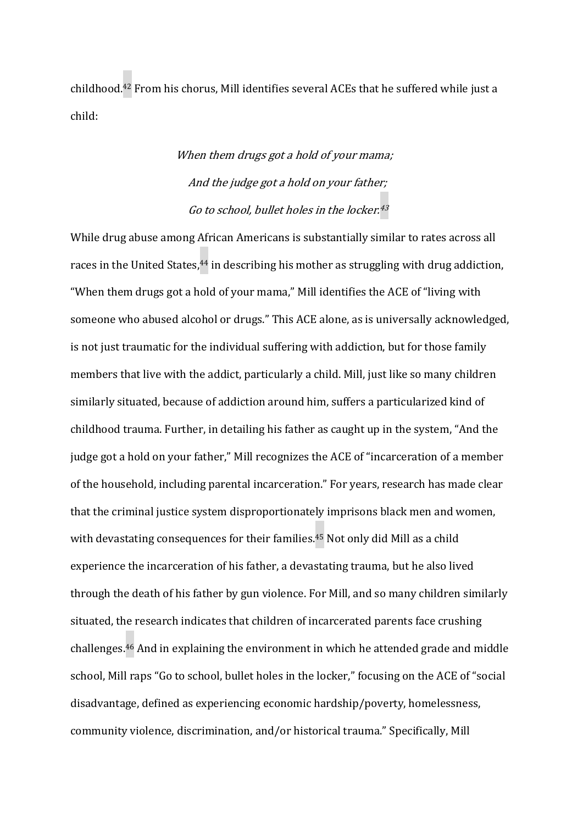childhood.<sup>42</sup> From his chorus, Mill identifies several ACEs that he suffered while just a child:

## When them drugs got a hold of your mama; And the judge got a hold on your father; Go to school, bullet holes in the locker. 43

While drug abuse among African Americans is substantially similar to rates across all races in the United States,<sup>44</sup> in describing his mother as struggling with drug addiction, "When them drugs got a hold of your mama," Mill identifies the ACE of "living with someone who abused alcohol or drugs." This ACE alone, as is universally acknowledged, is not just traumatic for the individual suffering with addiction, but for those family members that live with the addict, particularly a child. Mill, just like so many children similarly situated, because of addiction around him, suffers a particularized kind of childhood trauma. Further, in detailing his father as caught up in the system, "And the judge got a hold on your father," Mill recognizes the ACE of "incarceration of a member of the household, including parental incarceration." For years, research has made clear that the criminal justice system disproportionately imprisons black men and women, with devastating consequences for their families.<sup>45</sup> Not only did Mill as a child experience the incarceration of his father, a devastating trauma, but he also lived through the death of his father by gun violence. For Mill, and so many children similarly situated, the research indicates that children of incarcerated parents face crushing challenges.<sup>46</sup> And in explaining the environment in which he attended grade and middle school, Mill raps "Go to school, bullet holes in the locker," focusing on the ACE of "social disadvantage, defined as experiencing economic hardship/poverty, homelessness, community violence, discrimination, and/or historical trauma." Specifically, Mill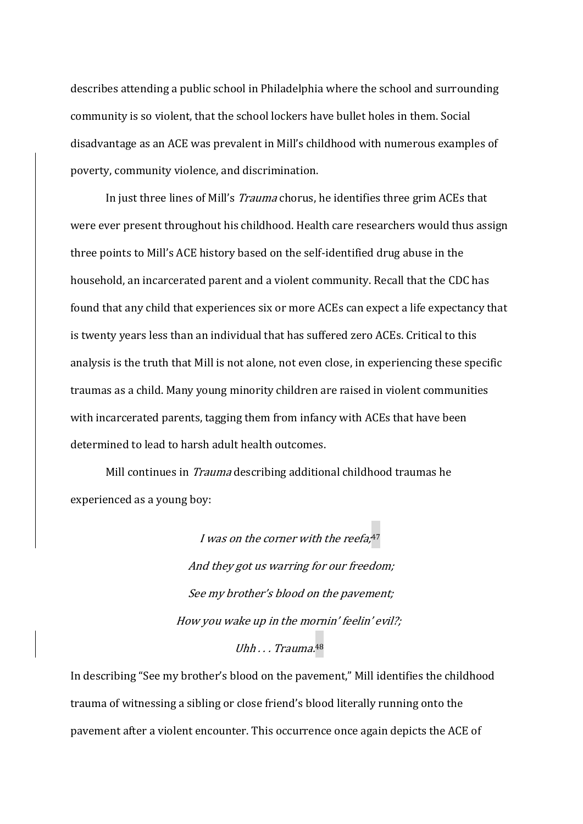describes attending a public school in Philadelphia where the school and surrounding community is so violent, that the school lockers have bullet holes in them. Social disadvantage as an ACE was prevalent in Mill's childhood with numerous examples of poverty, community violence, and discrimination.

In just three lines of Mill's Trauma chorus, he identifies three grim ACEs that were ever present throughout his childhood. Health care researchers would thus assign three points to Mill's ACE history based on the self-identified drug abuse in the household, an incarcerated parent and a violent community. Recall that the CDC has found that any child that experiences six or more ACEs can expect a life expectancy that is twenty years less than an individual that has suffered zero ACEs. Critical to this analysis is the truth that Mill is not alone, not even close, in experiencing these specific traumas as a child. Many young minority children are raised in violent communities with incarcerated parents, tagging them from infancy with ACEs that have been determined to lead to harsh adult health outcomes.

Mill continues in *Trauma* describing additional childhood traumas he experienced as a young boy:

> I was on the corner with the reefa,<sup>47</sup> And they got us warring for our freedom; See my brother's blood on the pavement; How you wake up in the mornin' feelin' evil?; Uhh . . . Trauma. 48

In describing "See my brother's blood on the pavement," Mill identifies the childhood trauma of witnessing a sibling or close friend's blood literally running onto the pavement after a violent encounter. This occurrence once again depicts the ACE of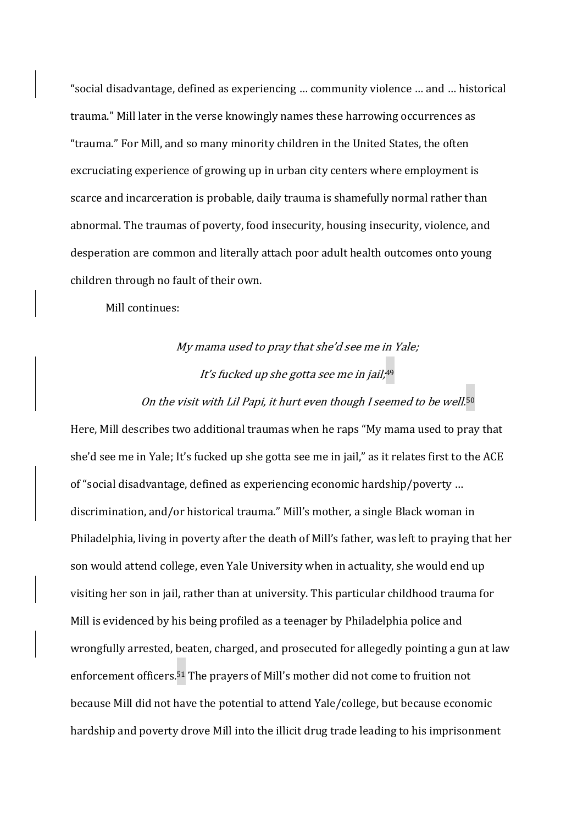"social disadvantage, defined as experiencing … community violence … and … historical trauma." Mill later in the verse knowingly names these harrowing occurrences as "trauma." For Mill, and so many minority children in the United States, the often excruciating experience of growing up in urban city centers where employment is scarce and incarceration is probable, daily trauma is shamefully normal rather than abnormal. The traumas of poverty, food insecurity, housing insecurity, violence, and desperation are common and literally attach poor adult health outcomes onto young children through no fault of their own.

Mill continues:

#### My mama used to pray that she'd see me in Yale; It's fucked up she gotta see me in jail,<sup>49</sup>

#### On the visit with Lil Papi, it hurt even though I seemed to be well.<sup>50</sup>

Here, Mill describes two additional traumas when he raps "My mama used to pray that she'd see me in Yale; It's fucked up she gotta see me in jail," as it relates first to the ACE of "social disadvantage, defined as experiencing economic hardship/poverty … discrimination, and/or historical trauma." Mill's mother, a single Black woman in Philadelphia, living in poverty after the death of Mill's father, was left to praying that her son would attend college, even Yale University when in actuality, she would end up visiting her son in jail, rather than at university. This particular childhood trauma for Mill is evidenced by his being profiled as a teenager by Philadelphia police and wrongfully arrested, beaten, charged, and prosecuted for allegedly pointing a gun at law enforcement officers.<sup>51</sup> The prayers of Mill's mother did not come to fruition not because Mill did not have the potential to attend Yale/college, but because economic hardship and poverty drove Mill into the illicit drug trade leading to his imprisonment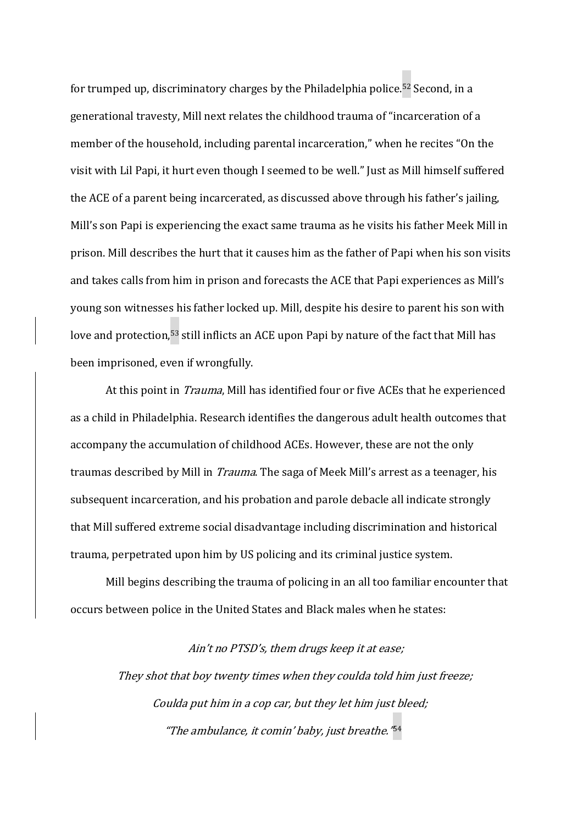for trumped up, discriminatory charges by the Philadelphia police.<sup>52</sup> Second, in a generational travesty, Mill next relates the childhood trauma of "incarceration of a member of the household, including parental incarceration," when he recites "On the visit with Lil Papi, it hurt even though I seemed to be well." Just as Mill himself suffered the ACE of a parent being incarcerated, as discussed above through his father's jailing, Mill's son Papi is experiencing the exact same trauma as he visits his father Meek Mill in prison. Mill describes the hurt that it causes him as the father of Papi when his son visits and takes calls from him in prison and forecasts the ACE that Papi experiences as Mill's young son witnesses his father locked up. Mill, despite his desire to parent his son with love and protection,<sup>53</sup> still inflicts an ACE upon Papi by nature of the fact that Mill has been imprisoned, even if wrongfully.

At this point in Trauma, Mill has identified four or five ACEs that he experienced as a child in Philadelphia. Research identifies the dangerous adult health outcomes that accompany the accumulation of childhood ACEs. However, these are not the only traumas described by Mill in *Trauma*. The saga of Meek Mill's arrest as a teenager, his subsequent incarceration, and his probation and parole debacle all indicate strongly that Mill suffered extreme social disadvantage including discrimination and historical trauma, perpetrated upon him by US policing and its criminal justice system.

Mill begins describing the trauma of policing in an all too familiar encounter that occurs between police in the United States and Black males when he states:

#### Ain't no PTSD's, them drugs keep it at ease;

They shot that boy twenty times when they coulda told him just freeze; Coulda put him in a cop car, but they let him just bleed; "The ambulance, it comin' baby, just breathe." 54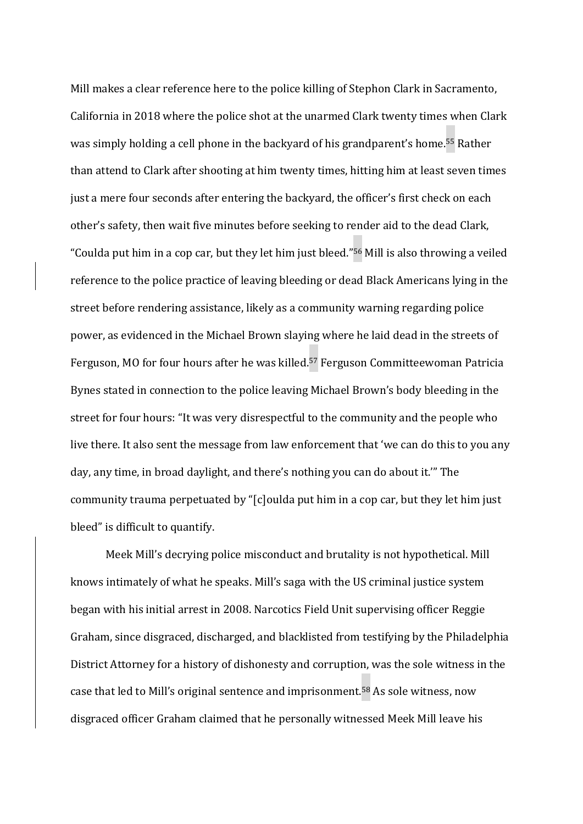Mill makes a clear reference here to the police killing of Stephon Clark in Sacramento, California in 2018 where the police shot at the unarmed Clark twenty times when Clark was simply holding a cell phone in the backyard of his grandparent's home.<sup>55</sup> Rather than attend to Clark after shooting at him twenty times, hitting him at least seven times just a mere four seconds after entering the backyard, the officer's first check on each other's safety, then wait five minutes before seeking to render aid to the dead Clark, "Coulda put him in a cop car, but they let him just bleed."<sup>56</sup> Mill is also throwing a veiled reference to the police practice of leaving bleeding or dead Black Americans lying in the street before rendering assistance, likely as a community warning regarding police power, as evidenced in the Michael Brown slaying where he laid dead in the streets of Ferguson, MO for four hours after he was killed.<sup>57</sup> Ferguson Committeewoman Patricia Bynes stated in connection to the police leaving Michael Brown's body bleeding in the street for four hours: "It was very disrespectful to the community and the people who live there. It also sent the message from law enforcement that 'we can do this to you any day, any time, in broad daylight, and there's nothing you can do about it.'" The community trauma perpetuated by "[c]oulda put him in a cop car, but they let him just bleed" is difficult to quantify.

Meek Mill's decrying police misconduct and brutality is not hypothetical. Mill knows intimately of what he speaks. Mill's saga with the US criminal justice system began with his initial arrest in 2008. Narcotics Field Unit supervising officer Reggie Graham, since disgraced, discharged, and blacklisted from testifying by the Philadelphia District Attorney for a history of dishonesty and corruption, was the sole witness in the case that led to Mill's original sentence and imprisonment.<sup>58</sup> As sole witness, now disgraced officer Graham claimed that he personally witnessed Meek Mill leave his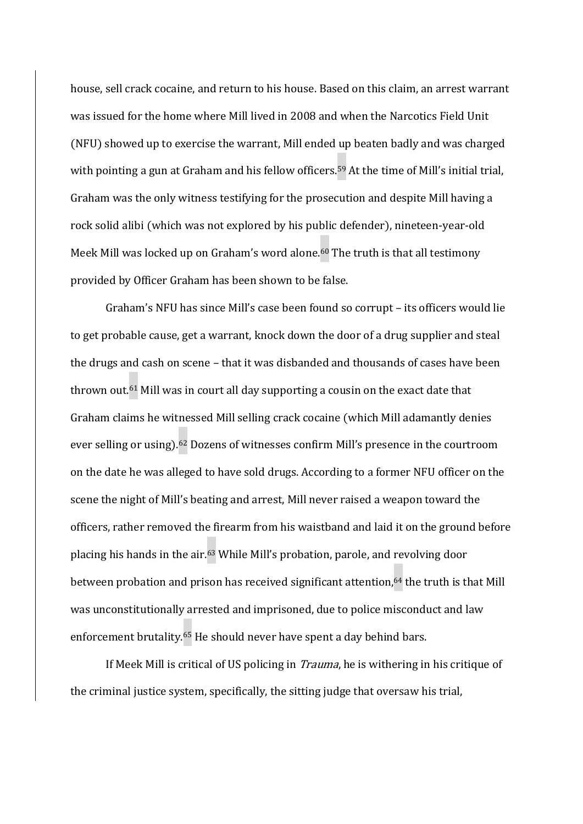house, sell crack cocaine, and return to his house. Based on this claim, an arrest warrant was issued for the home where Mill lived in 2008 and when the Narcotics Field Unit (NFU) showed up to exercise the warrant, Mill ended up beaten badly and was charged with pointing a gun at Graham and his fellow officers.<sup>59</sup> At the time of Mill's initial trial, Graham was the only witness testifying for the prosecution and despite Mill having a rock solid alibi (which was not explored by his public defender), nineteen-year-old Meek Mill was locked up on Graham's word alone.<sup>60</sup> The truth is that all testimony provided by Officer Graham has been shown to be false.

Graham's NFU has since Mill's case been found so corrupt – its officers would lie to get probable cause, get a warrant, knock down the door of a drug supplier and steal the drugs and cash on scene – that it was disbanded and thousands of cases have been thrown out.<sup>61</sup> Mill was in court all day supporting a cousin on the exact date that Graham claims he witnessed Mill selling crack cocaine (which Mill adamantly denies ever selling or using).<sup>62</sup> Dozens of witnesses confirm Mill's presence in the courtroom on the date he was alleged to have sold drugs. According to a former NFU officer on the scene the night of Mill's beating and arrest, Mill never raised a weapon toward the officers, rather removed the firearm from his waistband and laid it on the ground before placing his hands in the air.<sup>63</sup> While Mill's probation, parole, and revolving door between probation and prison has received significant attention, $64$  the truth is that Mill was unconstitutionally arrested and imprisoned, due to police misconduct and law enforcement brutality.<sup>65</sup> He should never have spent a day behind bars.

If Meek Mill is critical of US policing in Trauma, he is withering in his critique of the criminal justice system, specifically, the sitting judge that oversaw his trial,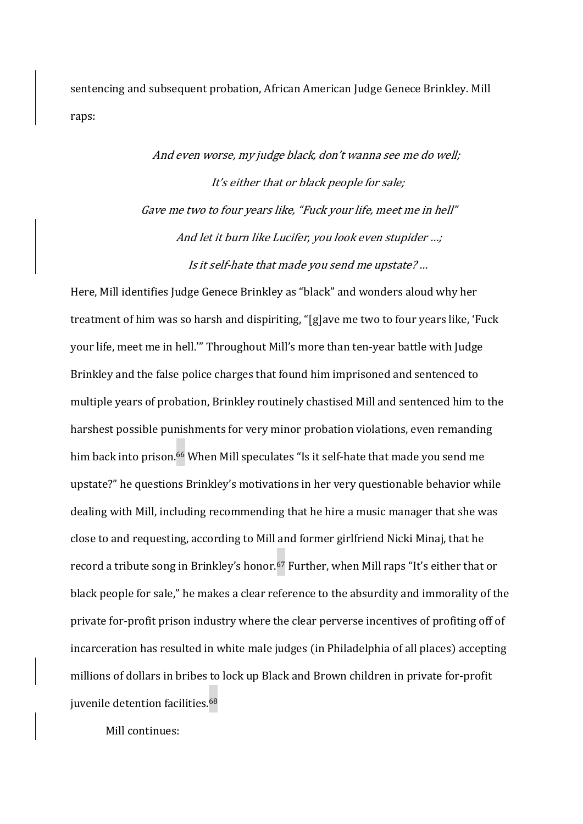sentencing and subsequent probation, African American Judge Genece Brinkley. Mill raps:

## And even worse, my judge black, don't wanna see me do well; It's either that or black people for sale; Gave me two to four years like, "Fuck your life, meet me in hell" And let it burn like Lucifer, you look even stupider …; Is it self-hate that made you send me upstate? …

Here, Mill identifies Judge Genece Brinkley as "black" and wonders aloud why her treatment of him was so harsh and dispiriting, "[g]ave me two to four years like, 'Fuck your life, meet me in hell.'" Throughout Mill's more than ten-year battle with Judge Brinkley and the false police charges that found him imprisoned and sentenced to multiple years of probation, Brinkley routinely chastised Mill and sentenced him to the harshest possible punishments for very minor probation violations, even remanding him back into prison.<sup>66</sup> When Mill speculates "Is it self-hate that made you send me upstate?" he questions Brinkley's motivations in her very questionable behavior while dealing with Mill, including recommending that he hire a music manager that she was close to and requesting, according to Mill and former girlfriend Nicki Minaj, that he record a tribute song in Brinkley's honor.<sup>67</sup> Further, when Mill raps "It's either that or black people for sale," he makes a clear reference to the absurdity and immorality of the private for-profit prison industry where the clear perverse incentives of profiting off of incarceration has resulted in white male judges (in Philadelphia of all places) accepting millions of dollars in bribes to lock up Black and Brown children in private for-profit juvenile detention facilities.<sup>68</sup>

Mill continues: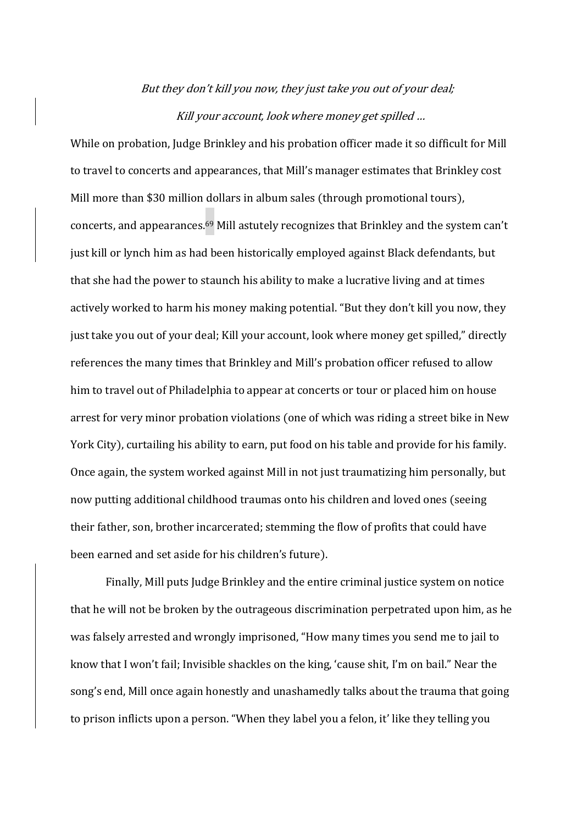#### But they don't kill you now, they just take you out of your deal; Kill your account, look where money get spilled …

While on probation, Judge Brinkley and his probation officer made it so difficult for Mill to travel to concerts and appearances, that Mill's manager estimates that Brinkley cost Mill more than \$30 million dollars in album sales (through promotional tours), concerts, and appearances.<sup>69</sup> Mill astutely recognizes that Brinkley and the system can't just kill or lynch him as had been historically employed against Black defendants, but that she had the power to staunch his ability to make a lucrative living and at times actively worked to harm his money making potential. "But they don't kill you now, they just take you out of your deal; Kill your account, look where money get spilled," directly references the many times that Brinkley and Mill's probation officer refused to allow him to travel out of Philadelphia to appear at concerts or tour or placed him on house arrest for very minor probation violations (one of which was riding a street bike in New York City), curtailing his ability to earn, put food on his table and provide for his family. Once again, the system worked against Mill in not just traumatizing him personally, but now putting additional childhood traumas onto his children and loved ones (seeing their father, son, brother incarcerated; stemming the flow of profits that could have been earned and set aside for his children's future).

Finally, Mill puts Judge Brinkley and the entire criminal justice system on notice that he will not be broken by the outrageous discrimination perpetrated upon him, as he was falsely arrested and wrongly imprisoned, "How many times you send me to jail to know that I won't fail; Invisible shackles on the king, 'cause shit, I'm on bail." Near the song's end, Mill once again honestly and unashamedly talks about the trauma that going to prison inflicts upon a person. "When they label you a felon, it' like they telling you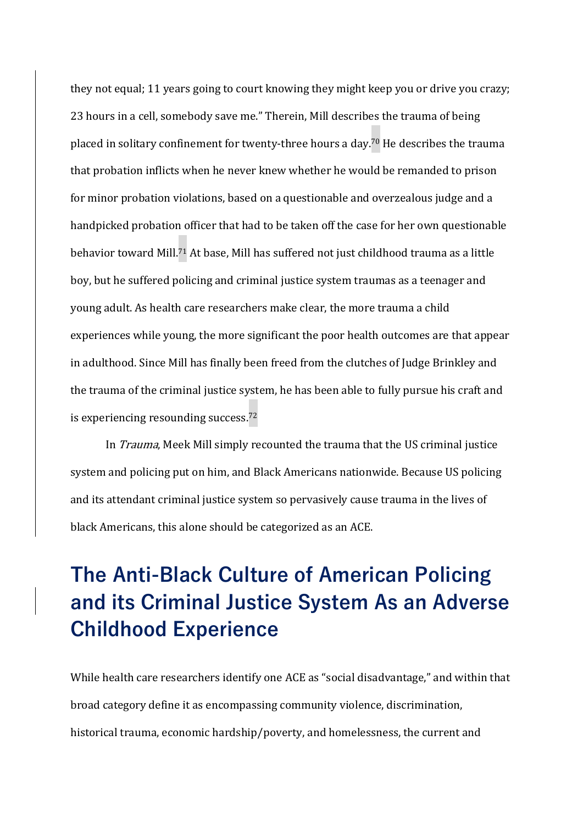they not equal; 11 years going to court knowing they might keep you or drive you crazy; 23 hours in a cell, somebody save me." Therein, Mill describes the trauma of being placed in solitary confinement for twenty-three hours a day.<sup>70</sup> He describes the trauma that probation inflicts when he never knew whether he would be remanded to prison for minor probation violations, based on a questionable and overzealous judge and a handpicked probation officer that had to be taken off the case for her own questionable behavior toward Mill.<sup>71</sup> At base, Mill has suffered not just childhood trauma as a little boy, but he suffered policing and criminal justice system traumas as a teenager and young adult. As health care researchers make clear, the more trauma a child experiences while young, the more significant the poor health outcomes are that appear in adulthood. Since Mill has finally been freed from the clutches of Judge Brinkley and the trauma of the criminal justice system, he has been able to fully pursue his craft and is experiencing resounding success.<sup>72</sup>

In Trauma, Meek Mill simply recounted the trauma that the US criminal justice system and policing put on him, and Black Americans nationwide. Because US policing and its attendant criminal justice system so pervasively cause trauma in the lives of black Americans, this alone should be categorized as an ACE.

## **The Anti-Black Culture of American Policing and its Criminal Justice System As an Adverse Childhood Experience**

While health care researchers identify one ACE as "social disadvantage," and within that broad category define it as encompassing community violence, discrimination, historical trauma, economic hardship/poverty, and homelessness, the current and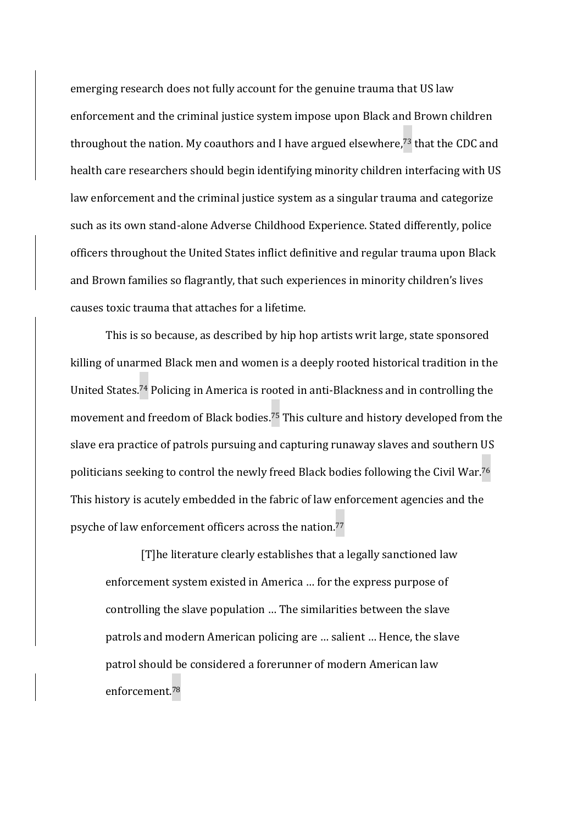emerging research does not fully account for the genuine trauma that US law enforcement and the criminal justice system impose upon Black and Brown children throughout the nation. My coauthors and I have argued elsewhere,<sup>73</sup> that the CDC and health care researchers should begin identifying minority children interfacing with US law enforcement and the criminal justice system as a singular trauma and categorize such as its own stand-alone Adverse Childhood Experience. Stated differently, police officers throughout the United States inflict definitive and regular trauma upon Black and Brown families so flagrantly, that such experiences in minority children's lives causes toxic trauma that attaches for a lifetime.

This is so because, as described by hip hop artists writ large, state sponsored killing of unarmed Black men and women is a deeply rooted historical tradition in the United States.<sup>74</sup> Policing in America is rooted in anti-Blackness and in controlling the movement and freedom of Black bodies.<sup>75</sup> This culture and history developed from the slave era practice of patrols pursuing and capturing runaway slaves and southern US politicians seeking to control the newly freed Black bodies following the Civil War.<sup>76</sup> This history is acutely embedded in the fabric of law enforcement agencies and the psyche of law enforcement officers across the nation.<sup>77</sup>

[T]he literature clearly establishes that a legally sanctioned law enforcement system existed in America … for the express purpose of controlling the slave population … The similarities between the slave patrols and modern American policing are … salient … Hence, the slave patrol should be considered a forerunner of modern American law enforcement.78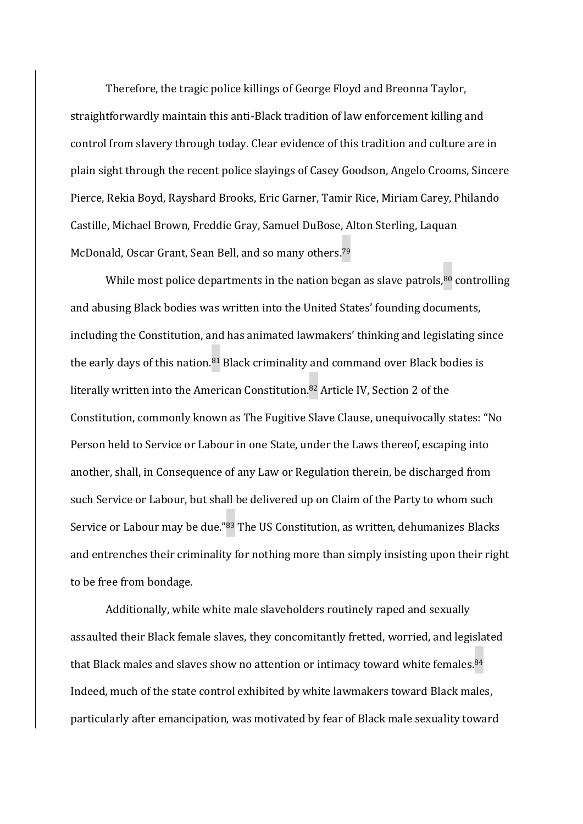Therefore, the tragic police killings of George Floyd and Breonna Taylor, straightforwardly maintain this anti-Black tradition of law enforcement killing and control from slavery through today. Clear evidence of this tradition and culture are in plain sight through the recent police slayings of Casey Goodson, Angelo Crooms, Sincere Pierce, Rekia Boyd, Rayshard Brooks, Eric Garner, Tamir Rice, Miriam Carey, Philando Castille, Michael Brown, Freddie Gray, Samuel DuBose, Alton Sterling, Laquan McDonald, Oscar Grant, Sean Bell, and so many others.<sup>79</sup>

While most police departments in the nation began as slave patrols,<sup>80</sup> controlling and abusing Black bodies was written into the United States' founding documents, including the Constitution, and has animated lawmakers' thinking and legislating since the early days of this nation.<sup>81</sup> Black criminality and command over Black bodies is literally written into the American Constitution.<sup>82</sup> Article IV, Section 2 of the Constitution, commonly known as The Fugitive Slave Clause, unequivocally states: "No Person held to Service or Labour in one State, under the Laws thereof, escaping into another, shall, in Consequence of any Law or Regulation therein, be discharged from such Service or Labour, but shall be delivered up on Claim of the Party to whom such Service or Labour may be due."<sup>83</sup> The US Constitution, as written, dehumanizes Blacks and entrenches their criminality for nothing more than simply insisting upon their right to be free from bondage.

Additionally, while white male slaveholders routinely raped and sexually assaulted their Black female slaves, they concomitantly fretted, worried, and legislated that Black males and slaves show no attention or intimacy toward white females.<sup>84</sup> Indeed, much of the state control exhibited by white lawmakers toward Black males, particularly after emancipation, was motivated by fear of Black male sexuality toward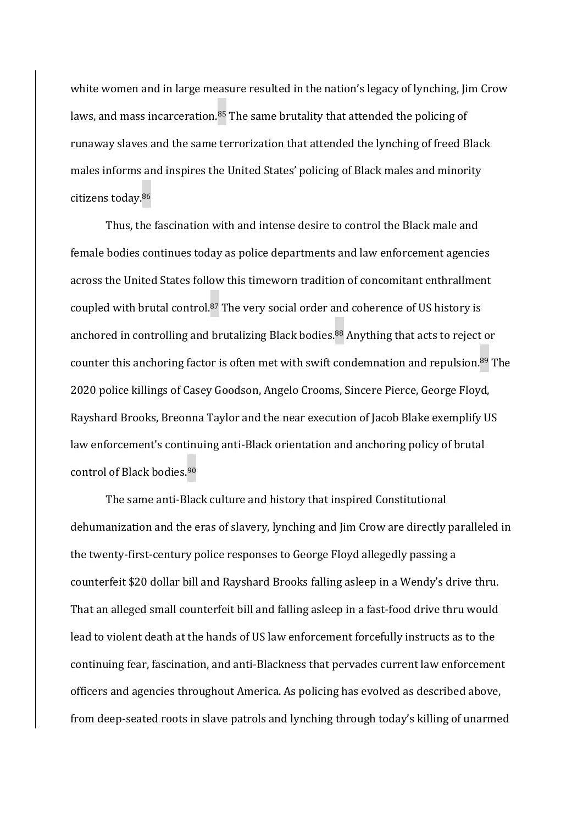white women and in large measure resulted in the nation's legacy of lynching, Jim Crow laws, and mass incarceration.<sup>85</sup> The same brutality that attended the policing of runaway slaves and the same terrorization that attended the lynching of freed Black males informs and inspires the United States' policing of Black males and minority citizens today.<sup>86</sup>

Thus, the fascination with and intense desire to control the Black male and female bodies continues today as police departments and law enforcement agencies across the United States follow this timeworn tradition of concomitant enthrallment coupled with brutal control.<sup>87</sup> The very social order and coherence of US history is anchored in controlling and brutalizing Black bodies.<sup>88</sup> Anything that acts to reject or counter this anchoring factor is often met with swift condemnation and repulsion.<sup>89</sup> The 2020 police killings of Casey Goodson, Angelo Crooms, Sincere Pierce, George Floyd, Rayshard Brooks, Breonna Taylor and the near execution of Jacob Blake exemplify US law enforcement's continuing anti-Black orientation and anchoring policy of brutal control of Black bodies.<sup>90</sup>

The same anti-Black culture and history that inspired Constitutional dehumanization and the eras of slavery, lynching and Jim Crow are directly paralleled in the twenty-first-century police responses to George Floyd allegedly passing a counterfeit \$20 dollar bill and Rayshard Brooks falling asleep in a Wendy's drive thru. That an alleged small counterfeit bill and falling asleep in a fast-food drive thru would lead to violent death at the hands of US law enforcement forcefully instructs as to the continuing fear, fascination, and anti-Blackness that pervades current law enforcement officers and agencies throughout America. As policing has evolved as described above, from deep-seated roots in slave patrols and lynching through today's killing of unarmed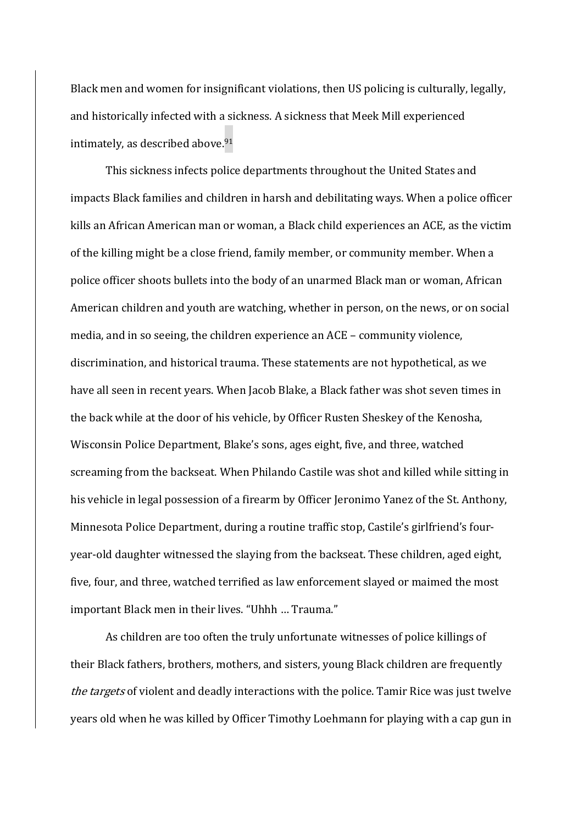Black men and women for insignificant violations, then US policing is culturally, legally, and historically infected with a sickness. A sickness that Meek Mill experienced intimately, as described above.<sup>91</sup>

This sickness infects police departments throughout the United States and impacts Black families and children in harsh and debilitating ways. When a police officer kills an African American man or woman, a Black child experiences an ACE, as the victim of the killing might be a close friend, family member, or community member. When a police officer shoots bullets into the body of an unarmed Black man or woman, African American children and youth are watching, whether in person, on the news, or on social media, and in so seeing, the children experience an ACE – community violence, discrimination, and historical trauma. These statements are not hypothetical, as we have all seen in recent years. When Jacob Blake, a Black father was shot seven times in the back while at the door of his vehicle, by Officer Rusten Sheskey of the Kenosha, Wisconsin Police Department, Blake's sons, ages eight, five, and three, watched screaming from the backseat. When Philando Castile was shot and killed while sitting in his vehicle in legal possession of a firearm by Officer Jeronimo Yanez of the St. Anthony, Minnesota Police Department, during a routine traffic stop, Castile's girlfriend's fouryear-old daughter witnessed the slaying from the backseat. These children, aged eight, five, four, and three, watched terrified as law enforcement slayed or maimed the most important Black men in their lives. "Uhhh … Trauma."

As children are too often the truly unfortunate witnesses of police killings of their Black fathers, brothers, mothers, and sisters, young Black children are frequently the targets of violent and deadly interactions with the police. Tamir Rice was just twelve years old when he was killed by Officer Timothy Loehmann for playing with a cap gun in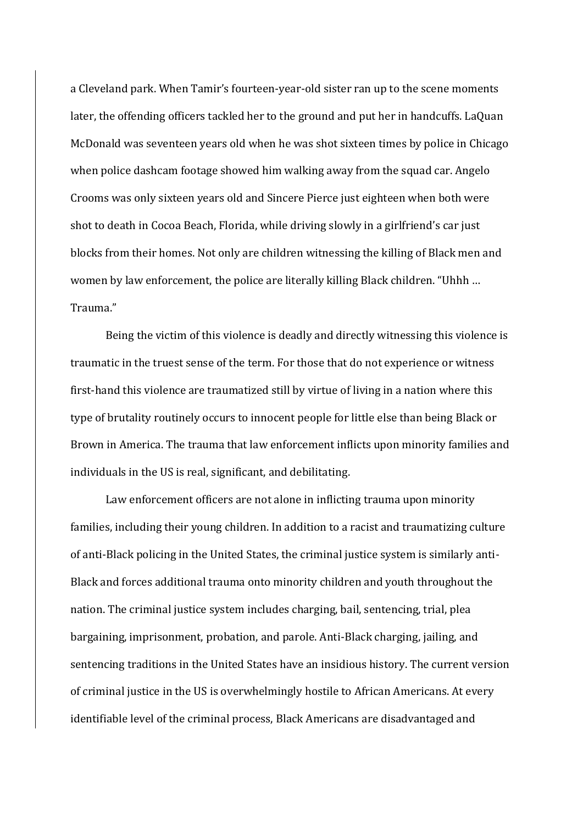a Cleveland park. When Tamir's fourteen-year-old sister ran up to the scene moments later, the offending officers tackled her to the ground and put her in handcuffs. LaQuan McDonald was seventeen years old when he was shot sixteen times by police in Chicago when police dashcam footage showed him walking away from the squad car. Angelo Crooms was only sixteen years old and Sincere Pierce just eighteen when both were shot to death in Cocoa Beach, Florida, while driving slowly in a girlfriend's car just blocks from their homes. Not only are children witnessing the killing of Black men and women by law enforcement, the police are literally killing Black children. "Uhhh … Trauma."

Being the victim of this violence is deadly and directly witnessing this violence is traumatic in the truest sense of the term. For those that do not experience or witness first-hand this violence are traumatized still by virtue of living in a nation where this type of brutality routinely occurs to innocent people for little else than being Black or Brown in America. The trauma that law enforcement inflicts upon minority families and individuals in the US is real, significant, and debilitating.

Law enforcement officers are not alone in inflicting trauma upon minority families, including their young children. In addition to a racist and traumatizing culture of anti-Black policing in the United States, the criminal justice system is similarly anti-Black and forces additional trauma onto minority children and youth throughout the nation. The criminal justice system includes charging, bail, sentencing, trial, plea bargaining, imprisonment, probation, and parole. Anti-Black charging, jailing, and sentencing traditions in the United States have an insidious history. The current version of criminal justice in the US is overwhelmingly hostile to African Americans. At every identifiable level of the criminal process, Black Americans are disadvantaged and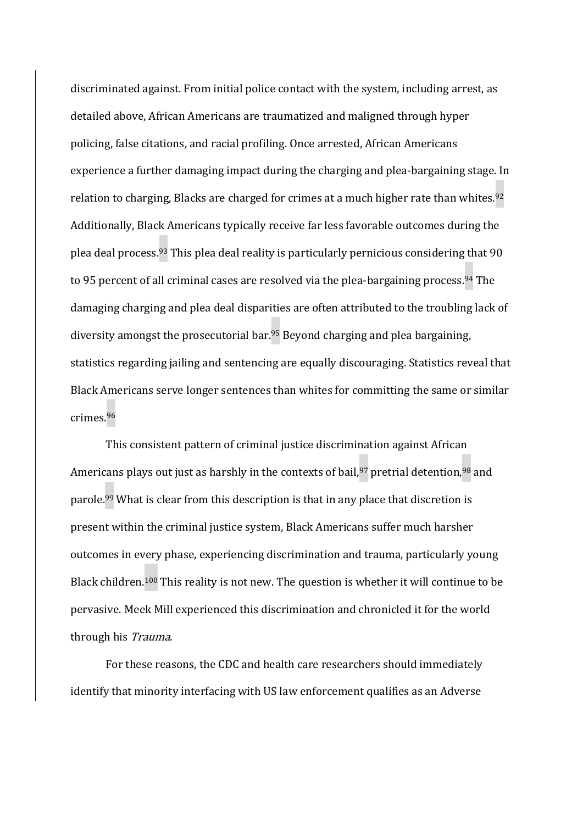discriminated against. From initial police contact with the system, including arrest, as detailed above, African Americans are traumatized and maligned through hyper policing, false citations, and racial profiling. Once arrested, African Americans experience a further damaging impact during the charging and plea-bargaining stage. In relation to charging, Blacks are charged for crimes at a much higher rate than whites.<sup>92</sup> Additionally, Black Americans typically receive far less favorable outcomes during the plea deal process.<sup>93</sup> This plea deal reality is particularly pernicious considering that 90 to 95 percent of all criminal cases are resolved via the plea-bargaining process.<sup>94</sup> The damaging charging and plea deal disparities are often attributed to the troubling lack of diversity amongst the prosecutorial bar.<sup>95</sup> Beyond charging and plea bargaining, statistics regarding jailing and sentencing are equally discouraging. Statistics reveal that Black Americans serve longer sentences than whites for committing the same or similar crimes.<sup>96</sup>

This consistent pattern of criminal justice discrimination against African Americans plays out just as harshly in the contexts of bail,  $97$  pretrial detention,  $98$  and parole.<sup>99</sup> What is clear from this description is that in any place that discretion is present within the criminal justice system, Black Americans suffer much harsher outcomes in every phase, experiencing discrimination and trauma, particularly young Black children.<sup>100</sup> This reality is not new. The question is whether it will continue to be pervasive. Meek Mill experienced this discrimination and chronicled it for the world through his Trauma.

For these reasons, the CDC and health care researchers should immediately identify that minority interfacing with US law enforcement qualifies as an Adverse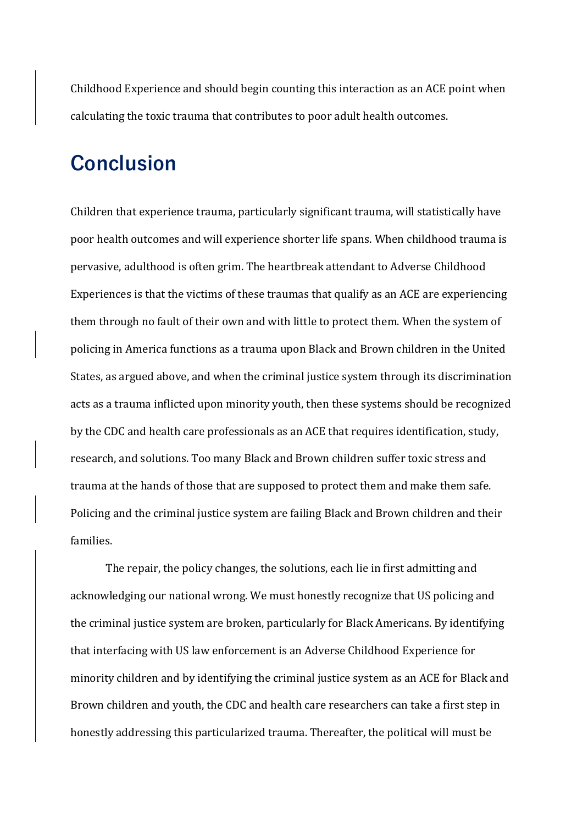Childhood Experience and should begin counting this interaction as an ACE point when calculating the toxic trauma that contributes to poor adult health outcomes.

### **Conclusion**

Children that experience trauma, particularly significant trauma, will statistically have poor health outcomes and will experience shorter life spans. When childhood trauma is pervasive, adulthood is often grim. The heartbreak attendant to Adverse Childhood Experiences is that the victims of these traumas that qualify as an ACE are experiencing them through no fault of their own and with little to protect them. When the system of policing in America functions as a trauma upon Black and Brown children in the United States, as argued above, and when the criminal justice system through its discrimination acts as a trauma inflicted upon minority youth, then these systems should be recognized by the CDC and health care professionals as an ACE that requires identification, study, research, and solutions. Too many Black and Brown children suffer toxic stress and trauma at the hands of those that are supposed to protect them and make them safe. Policing and the criminal justice system are failing Black and Brown children and their families.

The repair, the policy changes, the solutions, each lie in first admitting and acknowledging our national wrong. We must honestly recognize that US policing and the criminal justice system are broken, particularly for Black Americans. By identifying that interfacing with US law enforcement is an Adverse Childhood Experience for minority children and by identifying the criminal justice system as an ACE for Black and Brown children and youth, the CDC and health care researchers can take a first step in honestly addressing this particularized trauma. Thereafter, the political will must be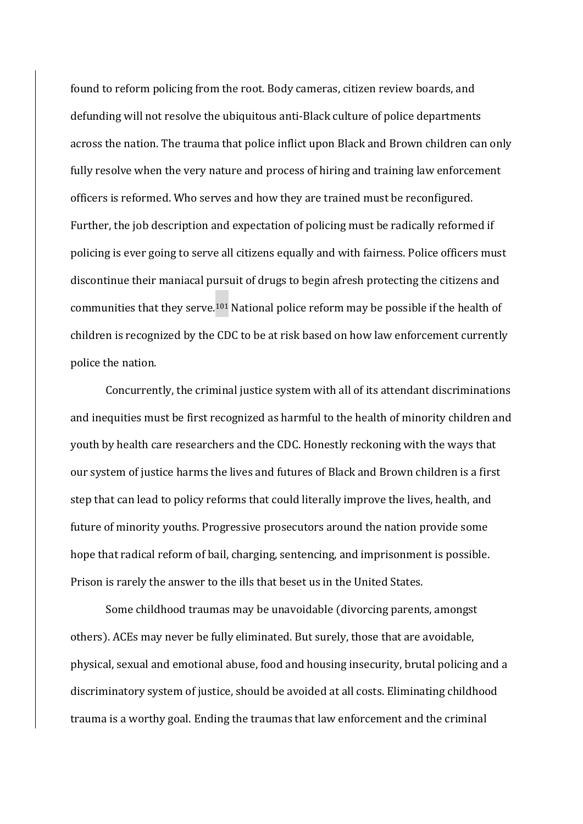found to reform policing from the root. Body cameras, citizen review boards, and defunding will not resolve the ubiquitous anti-Black culture of police departments across the nation. The trauma that police inflict upon Black and Brown children can only fully resolve when the very nature and process of hiring and training law enforcement officers is reformed. Who serves and how they are trained must be reconfigured. Further, the job description and expectation of policing must be radically reformed if policing is ever going to serve all citizens equally and with fairness. Police officers must discontinue their maniacal pursuit of drugs to begin afresh protecting the citizens and communities that they serve.<sup>101</sup> National police reform may be possible if the health of children is recognized by the CDC to be at risk based on how law enforcement currently police the nation.

Concurrently, the criminal justice system with all of its attendant discriminations and inequities must be first recognized as harmful to the health of minority children and youth by health care researchers and the CDC. Honestly reckoning with the ways that our system of justice harms the lives and futures of Black and Brown children is a first step that can lead to policy reforms that could literally improve the lives, health, and future of minority youths. Progressive prosecutors around the nation provide some hope that radical reform of bail, charging, sentencing, and imprisonment is possible. Prison is rarely the answer to the ills that beset us in the United States.

Some childhood traumas may be unavoidable (divorcing parents, amongst others). ACEs may never be fully eliminated. But surely, those that are avoidable, physical, sexual and emotional abuse, food and housing insecurity, brutal policing and a discriminatory system of justice, should be avoided at all costs. Eliminating childhood trauma is a worthy goal. Ending the traumas that law enforcement and the criminal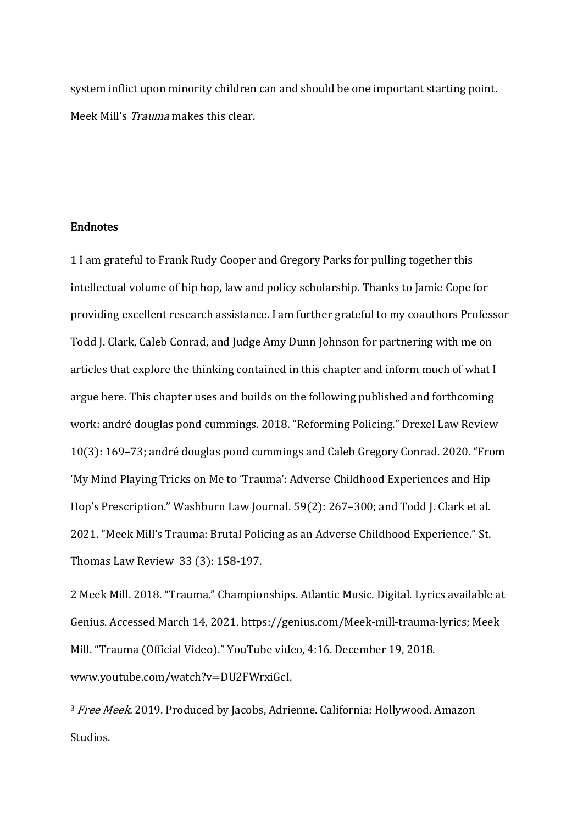system inflict upon minority children can and should be one important starting point. Meek Mill's Trauma makes this clear.

#### Endnotes

1 I am grateful to Frank Rudy Cooper and Gregory Parks for pulling together this intellectual volume of hip hop, law and policy scholarship. Thanks to Jamie Cope for providing excellent research assistance. I am further grateful to my coauthors Professor Todd J. Clark, Caleb Conrad, and Judge Amy Dunn Johnson for partnering with me on articles that explore the thinking contained in this chapter and inform much of what I argue here. This chapter uses and builds on the following published and forthcoming work: andré douglas pond cummings. 2018. "Reforming Policing." Drexel Law Review 10(3): 169–73; andré douglas pond cummings and Caleb Gregory Conrad. 2020. "From 'My Mind Playing Tricks on Me to 'Trauma': Adverse Childhood Experiences and Hip Hop's Prescription." Washburn Law Journal. 59(2): 267–300; and Todd J. Clark et al. 2021. "Meek Mill's Trauma: Brutal Policing as an Adverse Childhood Experience." St. Thomas Law Review 33 (3): 158-197.

2 Meek Mill. 2018. "Trauma." Championships. Atlantic Music. Digital. Lyrics available at Genius. Accessed March 14, 2021[. https://genius.com/Meek-mill-trauma-lyrics;](https://genius.com/Meek-mill-trauma-lyrics) Meek Mill. "Trauma (Official Video)." YouTube video, 4:16. December 19, 2018. [www.youtube.com/watch?v=DU2FWrxiGcI.](http://www.youtube.com/watch?v=DU2FWrxiGcI)

<sup>3</sup> Free Meek. 2019. Produced by Jacobs, Adrienne. California: Hollywood. Amazon Studios.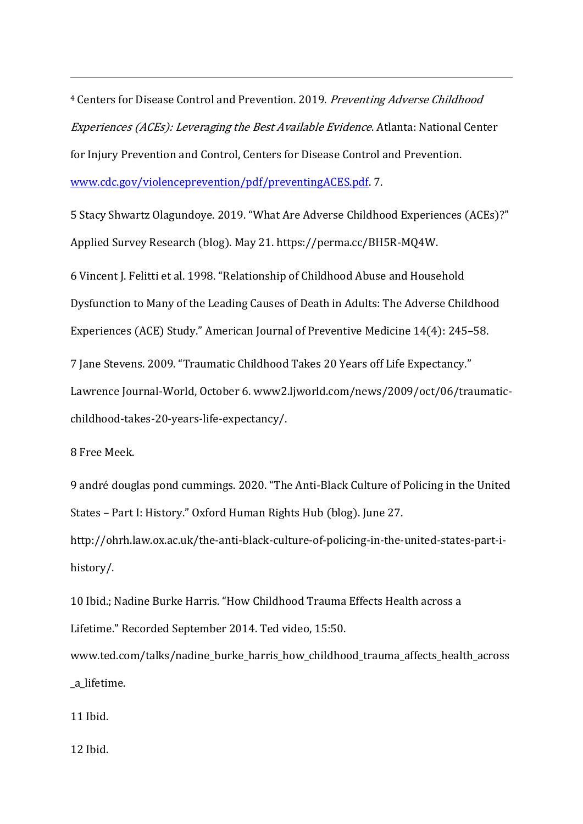<sup>4</sup> Centers for Disease Control and Prevention. 2019. Preventing Adverse Childhood Experiences (ACEs): Leveraging the Best Available Evidence. Atlanta: National Center for Injury Prevention and Control, Centers for Disease Control and Prevention. [www.cdc.gov/violenceprevention/pdf/preventingACES.pdf.](http://www.cdc.gov/violenceprevention/pdf/preventingACES.pdf) 7.

5 Stacy Shwartz Olagundoye. 2019. "What Are Adverse Childhood Experiences (ACEs)?" Applied Survey Research (blog). May 21. [https://perma.cc/BH5R-MQ4W.](https://perma.cc/BH5R-MQ4W%3c/int_u)

6 Vincent J. Felitti et al. 1998. "Relationship of Childhood Abuse and Household Dysfunction to Many of the Leading Causes of Death in Adults: The Adverse Childhood Experiences (ACE) Study." American Journal of Preventive Medicine 14(4): 245–58.

7 Jane Stevens. 2009. "Traumatic Childhood Takes 20 Years off Life Expectancy." Lawrence Journal-World, October 6. [www2.ljworld.com/news/2009/oct/06/traumatic](https://www2.ljworld.com/news/2009/oct/06/traumatic-childhood-takes-20-years-life-expectancy/)[childhood-takes-20-years-life-expectancy/.](https://www2.ljworld.com/news/2009/oct/06/traumatic-childhood-takes-20-years-life-expectancy/)

8 Free Meek.

9 andré douglas pond cummings. 2020. "The Anti-Black Culture of Policing in the United States – [Part I](https://d.docs.live.net/6274d2ed1c70cbeb/Desktop/Integra/Parks/For%20Helen%5eJ%20Parks-OPM_Files%20for%20copyediting/normalised%20ms%20files-for%20copyediting/9781316519974c01.docx#ptl001): History." Oxford Human Rights Hub (blog). June 27. [http://ohrh.law.ox.ac.uk/the-anti-black-culture-of-policing-in-the-united-states-part-i](http://ohrh.law.ox.ac.uk/the-anti-black-culture-of-policing-in-the-united-states-part-i-history/)[history/.](http://ohrh.law.ox.ac.uk/the-anti-black-culture-of-policing-in-the-united-states-part-i-history/)

10 Ibid.; Nadine Burke Harris. "How Childhood Trauma Effects Health across a Lifetime." Recorded September 2014. Ted video, 15:50. [www.ted.com/talks/nadine\\_burke\\_harris\\_how\\_childhood\\_trauma\\_affects\\_health\\_across](http://www.ted.com/talks/nadine_burke_harris_how_childhood_trauma_affects_health_across_a_) [\\_a\\_l](http://www.ted.com/talks/nadine_burke_harris_how_childhood_trauma_affects_health_across_a_)ifetime.

11 Ibid.

12 Ibid.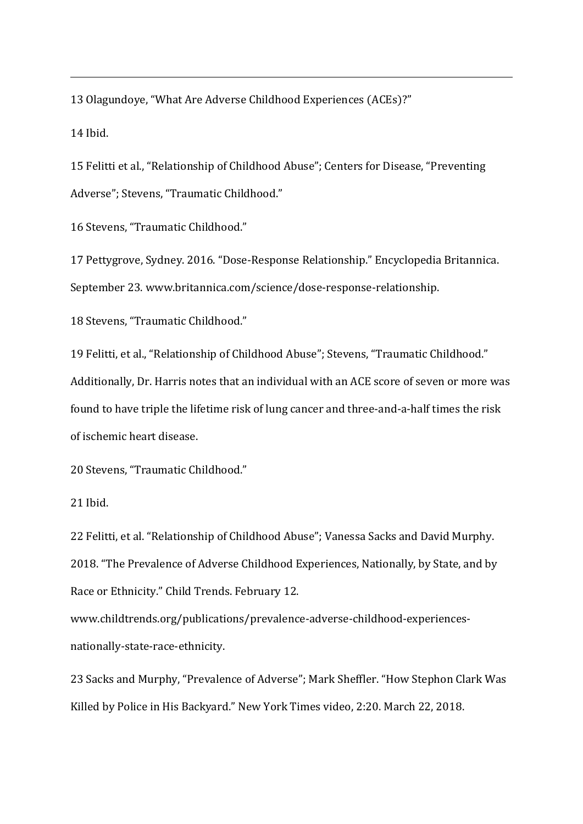13 Olagundoye, "What Are Adverse Childhood Experiences (ACEs)?"

14 Ibid.

15 Felitti et al., "Relationship of Childhood Abuse"; Centers for Disease, "Preventing Adverse"; Stevens, "Traumatic Childhood."

16 Stevens, "Traumatic Childhood."

17 Pettygrove, Sydney. 2016. "Dose-Response Relationship." Encyclopedia Britannica. September 23. [www.britannica.com/science/dose-response-relationship.](http://www.britannica.com/science/dose-response-relationship)

18 Stevens, "Traumatic Childhood."

19 Felitti, et al., "Relationship of Childhood Abuse"; Stevens, "Traumatic Childhood." Additionally, Dr. Harris notes that an individual with an ACE score of seven or more was found to have triple the lifetime risk of lung cancer and three-and-a-half times the risk of ischemic heart disease.

20 Stevens, "Traumatic Childhood."

21 Ibid.

22 Felitti, et al. "Relationship of Childhood Abuse"; Vanessa Sacks and David Murphy. 2018. "The Prevalence of Adverse Childhood Experiences, Nationally, by State, and by Race or Ethnicity." Child Trends. February 12.

[www.childtrends.org/publications/prevalence-adverse-childhood-experiences](http://www.childtrends.org/publications/prevalence-adverse-childhood-experiences-nationally-state-race-ethnicity)[nationally-state-race-ethnicity.](http://www.childtrends.org/publications/prevalence-adverse-childhood-experiences-nationally-state-race-ethnicity)

23 Sacks and Murphy, "Prevalence of Adverse"; Mark Sheffler. "How Stephon Clark Was Killed by Police in His Backyard." New York Times video, 2:20. March 22, 2018.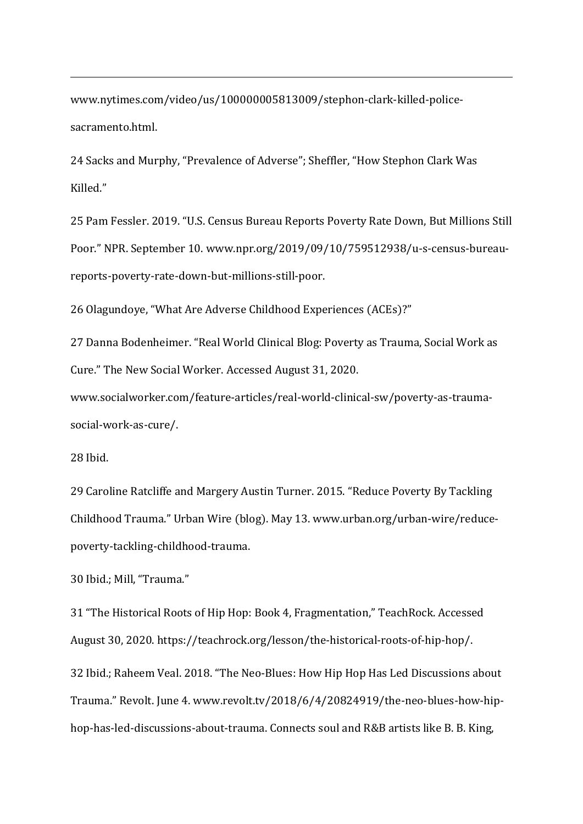[www.nytimes.com/video/us/100000005813009/s](http://www.nytimes.com/video/us/100000005813009/)tephon-clark-killed-policesacramento.html.

24 Sacks and Murphy, "Prevalence of Adverse"; Sheffler, "How Stephon Clark Was Killed."

25 Pam Fessler. 2019. "U.S. Census Bureau Reports Poverty Rate Down, But Millions Still Poor." NPR. September 10. [www.npr.org/2019/09/10/759512938/u-s-census-bureau](http://www.npr.org/2019/09/10/759512938/u-s-census-bureau-reports-poverty-rate-down-but-millions-still-poor)[reports-poverty-rate-down-but-millions-still-poor.](http://www.npr.org/2019/09/10/759512938/u-s-census-bureau-reports-poverty-rate-down-but-millions-still-poor)

26 Olagundoye, "What Are Adverse Childhood Experiences (ACEs)?"

27 Danna Bodenheimer. "Real World Clinical Blog: Poverty as Trauma, Social Work as Cure." The New Social Worker. Accessed August 31, 2020.

[www.socialworker.com/feature-articles/real-world-clinical-sw/poverty-as-trauma](http://www.socialworker.com/feature-articles/real-world-clinical-sw/poverty-as-trauma-social-work-as-cure/)[social-work-as-cure/.](http://www.socialworker.com/feature-articles/real-world-clinical-sw/poverty-as-trauma-social-work-as-cure/)

28 Ibid.

29 Caroline Ratcliffe and Margery Austin Turner. 2015. "Reduce Poverty By Tackling Childhood Trauma." Urban Wire (blog). May 13. [www.urban.org/urban-wire/reduce](http://www.urban.org/urban-wire/reduce-poverty-tackling-childhood-trauma)[poverty-tackling-childhood-trauma.](http://www.urban.org/urban-wire/reduce-poverty-tackling-childhood-trauma)

30 Ibid.; Mill, "Trauma."

31 "The Historical Roots of Hip Hop: Book 4, Fragmentation," TeachRock. Accessed August 30, 2020. [https://teachrock.org/lesson/the-historical-roots-of-hip-hop/.](https://teachrock.org/lesson/the-historical-roots-of-hip-hop/)

32 Ibid.; Raheem Veal. 2018. "The Neo-Blues: How Hip Hop Has Led Discussions about Trauma." Revolt. June 4. [www.revolt.tv/2018/6/4/20824919/the-neo-blues-how-hip](http://www.revolt.tv/2018/6/4/20824919/the-neo-blues-how-hip-hop-has-led-discussions-about-trauma)[hop-has-led-discussions-about-trauma.](http://www.revolt.tv/2018/6/4/20824919/the-neo-blues-how-hip-hop-has-led-discussions-about-trauma) Connects soul and R&B artists like B. B. King,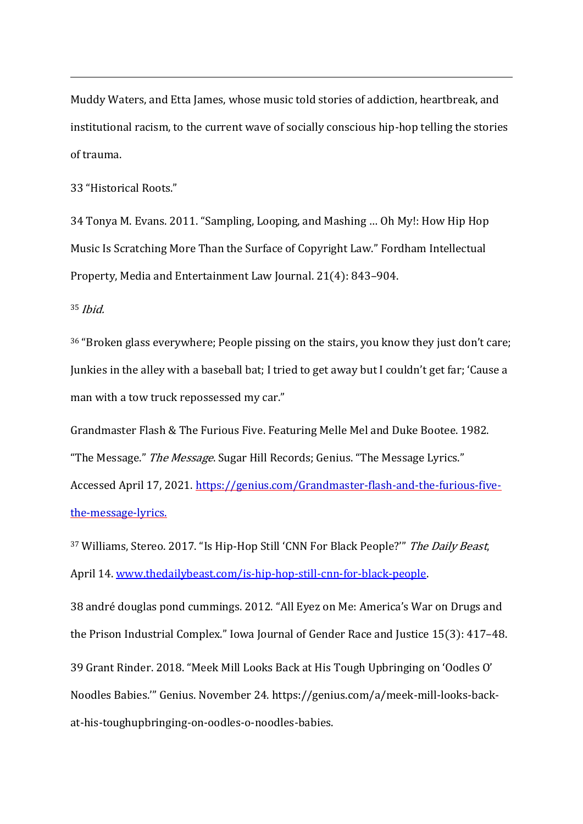Muddy Waters, and Etta James, whose music told stories of addiction, heartbreak, and institutional racism, to the current wave of socially conscious hip-hop telling the stories of trauma.

33 "Historical Roots."

34 Tonya M. Evans. 2011. "Sampling, Looping, and Mashing … Oh My!: How Hip Hop Music Is Scratching More Than the Surface of Copyright Law." Fordham Intellectual Property, Media and Entertainment Law Journal. 21(4): 843–904.

35 Ibid.

<sup>36</sup> "Broken glass everywhere; People pissing on the stairs, you know they just don't care; Junkies in the alley with a baseball bat; I tried to get away but I couldn't get far; 'Cause a man with a tow truck repossessed my car."

Grandmaster Flash & The Furious Five. Featuring Melle Mel and Duke Bootee. 1982. "The Message." The Message. Sugar Hill Records; Genius. "The Message Lyrics." Accessed April 17, 2021. [https://genius.com/Grandmaster-flash-and-the-furious-five](https://genius.com/Grandmaster-flash-and-the-furious-five-the-message-lyrics)[the-message-lyrics.](https://genius.com/Grandmaster-flash-and-the-furious-five-the-message-lyrics)

<sup>37</sup> Williams, Stereo. 2017. "Is Hip-Hop Still 'CNN For Black People?" The Daily Beast, April 14. [www.thedailybeast.com/is-hip-hop-still-cnn-for-black-people.](http://www.thedailybeast.com/is-hip-hop-still-cnn-for-black-people)

38 andré douglas pond cummings. 2012. "All Eyez on Me: America's War on Drugs and the Prison Industrial Complex." Iowa Journal of Gender Race and Justice 15(3): 417–48.

39 Grant Rinder. 2018. "Meek Mill Looks Back at His Tough Upbringing on 'Oodles O' Noodles Babies.'" Genius. November 24. [https://genius.com/a/meek-mill-looks-back](https://genius.com/a/meek-mill-looks-back-at-his-toughupbringing-on-oodles-o-noodles-babies)[at-his-toughupbringing-on-oodles-o-noodles-babies.](https://genius.com/a/meek-mill-looks-back-at-his-toughupbringing-on-oodles-o-noodles-babies)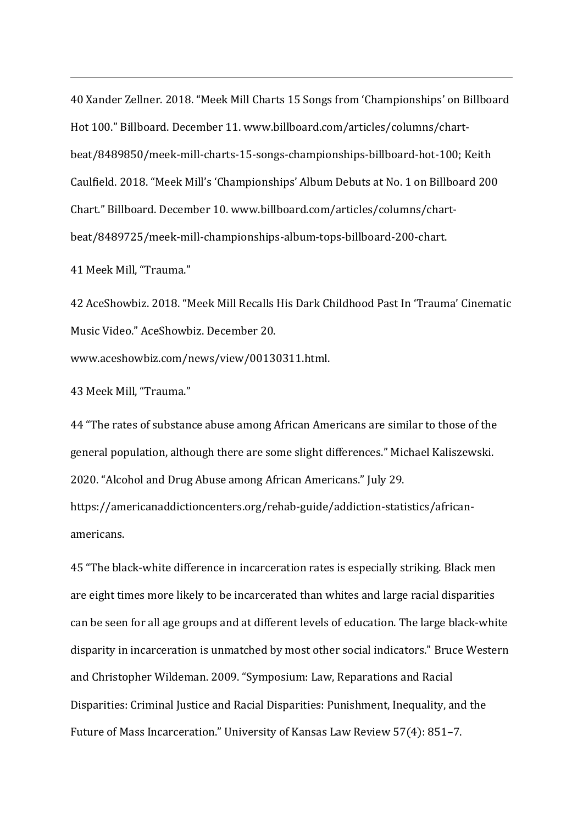40 Xander Zellner. 2018. "Meek Mill Charts 15 Songs from 'Championships' on Billboard Hot 100." Billboard. December 11. [www.billboard.com/articles/columns/chart](http://www.billboard.com/articles/columns/chart-beat/8489850/meek-mill-charts-15-songs-championships-billboard-hot-100)[beat/8489850/meek-mill-charts-15-songs-championships-billboard-hot-100;](http://www.billboard.com/articles/columns/chart-beat/8489850/meek-mill-charts-15-songs-championships-billboard-hot-100) Keith Caulfield. 2018. "Meek Mill's 'Championships' Album Debuts at No. 1 on Billboard 200 Chart." Billboard. December 10. [www.billboard.com/articles/columns/chart](http://www.billboard.com/articles/columns/chart-beat/8489725/meek-mill-championships-album-tops-billboard-200-chart)[beat/8489725/meek-mill-championships-album-tops-billboard-200-chart.](http://www.billboard.com/articles/columns/chart-beat/8489725/meek-mill-championships-album-tops-billboard-200-chart)

41 Meek Mill, "Trauma."

42 AceShowbiz. 2018. "Meek Mill Recalls His Dark Childhood Past In 'Trauma' Cinematic Music Video." AceShowbiz. December 20.

[www.aceshowbiz.com/news/view/00130311.html.](http://www.aceshowbiz.com/news/view/00130311.html)

43 Meek Mill, "Trauma."

44 "The rates of substance abuse among African Americans are similar to those of the general population, although there are some slight differences." Michael Kaliszewski. 2020. "Alcohol and Drug Abuse among African Americans." July 29.

[https://americanaddictioncenters.org/rehab-guide/addiction-statistics/african](https://americanaddictioncenters.org/rehab-guide/addiction-statistics/african-americans)[americans.](https://americanaddictioncenters.org/rehab-guide/addiction-statistics/african-americans)

45 "The black-white difference in incarceration rates is especially striking. Black men are eight times more likely to be incarcerated than whites and large racial disparities can be seen for all age groups and at different levels of education. The large black-white disparity in incarceration is unmatched by most other social indicators." Bruce Western and Christopher Wildeman. 2009. "Symposium: Law, Reparations and Racial Disparities: Criminal Justice and Racial Disparities: Punishment, Inequality, and the Future of Mass Incarceration." University of Kansas Law Review 57(4): 851–7.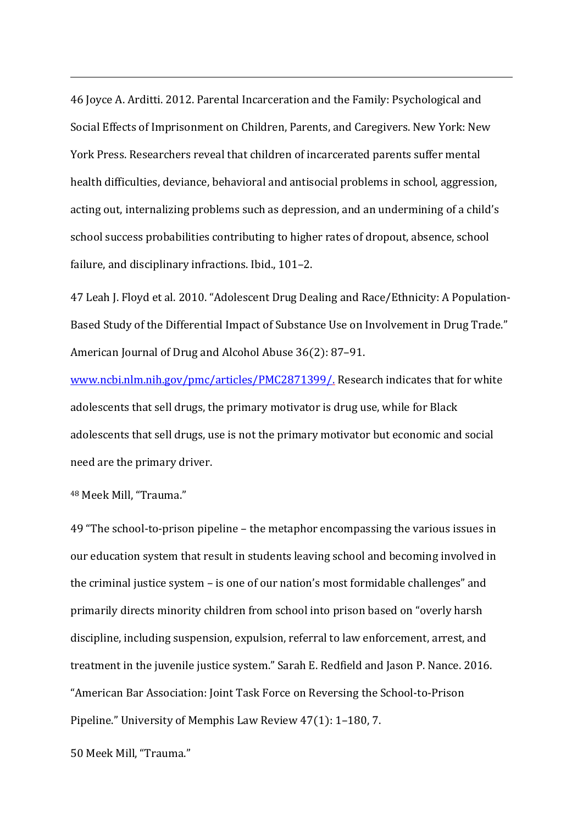46 Joyce A. Arditti. 2012. Parental Incarceration and the Family: Psychological and Social Effects of Imprisonment on Children, Parents, and Caregivers. New York: New York Press. Researchers reveal that children of incarcerated parents suffer mental health difficulties, deviance, behavioral and antisocial problems in school, aggression, acting out, internalizing problems such as depression, and an undermining of a child's school success probabilities contributing to higher rates of dropout, absence, school failure, and disciplinary infractions. Ibid., 101–2.

47 Leah J. Floyd et al. 2010. "Adolescent Drug Dealing and Race/Ethnicity: A Population-Based Study of the Differential Impact of Substance Use on Involvement in Drug Trade." American Journal of Drug and Alcohol Abuse 36(2): 87–91.

[www.ncbi.nlm.nih.gov/pmc/articles/PMC2871399/.](http://www.ncbi.nlm.nih.gov/pmc/articles/PMC2871399/) Research indicates that for white adolescents that sell drugs, the primary motivator is drug use, while for Black adolescents that sell drugs, use is not the primary motivator but economic and social need are the primary driver.

<sup>48</sup> Meek Mill, "Trauma."

49 "The school-to-prison pipeline – the metaphor encompassing the various issues in our education system that result in students leaving school and becoming involved in the criminal justice system – is one of our nation's most formidable challenges" and primarily directs minority children from school into prison based on "overly harsh discipline, including suspension, expulsion, referral to law enforcement, arrest, and treatment in the juvenile justice system." Sarah E. Redfield and Jason P. Nance. 2016. "American Bar Association: Joint Task Force on Reversing the School-to-Prison Pipeline." University of Memphis Law Review 47(1): 1–180, 7.

50 Meek Mill, "Trauma."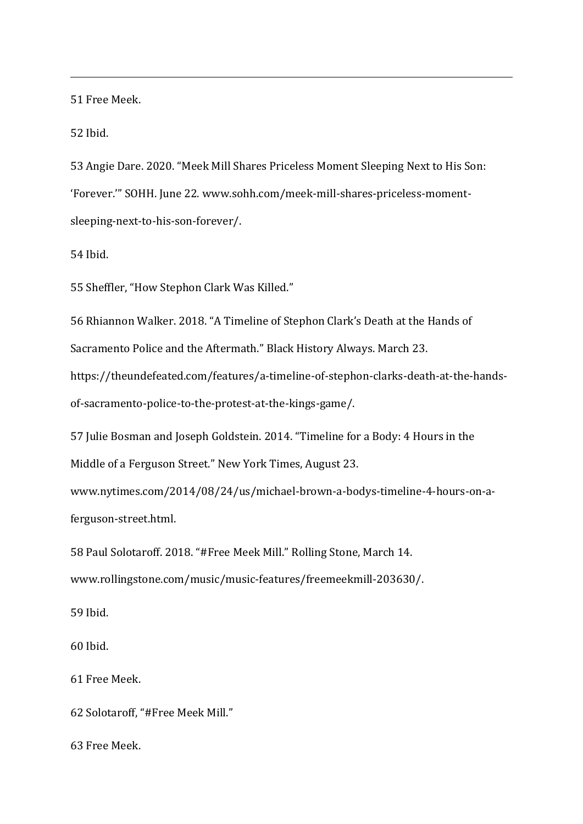51 Free Meek.

52 Ibid.

53 Angie Dare. 2020. "Meek Mill Shares Priceless Moment Sleeping Next to His Son: 'Forever.'" SOHH. June 22. [www.sohh.com/meek-mill-shares-priceless-moment](http://www.sohh.com/meek-mill-shares-priceless-moment-sleeping-next-to-his-son-forever/)[sleeping-next-to-his-son-forever/.](http://www.sohh.com/meek-mill-shares-priceless-moment-sleeping-next-to-his-son-forever/)

54 Ibid.

55 Sheffler, "How Stephon Clark Was Killed."

56 Rhiannon Walker. 2018. "A Timeline of Stephon Clark's Death at the Hands of

Sacramento Police and the Aftermath." Black History Always. March 23.

[https://theundefeated.com/features/a-timeline-of-stephon-clarks-death-at-the-hands](https://theundefeated.com/features/a-timeline-of-stephon-clarks-death-at-the-hands-of-sacramento-police-to-the-protest-at-the-kings-game/)[of-sacramento-police-to-the-protest-at-the-kings-game/.](https://theundefeated.com/features/a-timeline-of-stephon-clarks-death-at-the-hands-of-sacramento-police-to-the-protest-at-the-kings-game/)

57 Julie Bosman and Joseph Goldstein. 2014. "Timeline for a Body: 4 Hours in the Middle of a Ferguson Street." New York Times, August 23.

[www.nytimes.com/2014/08/24/us/michael-brown-a-bodys-timeline-4-hours-on-a](http://www.nytimes.com/2014/08/24/us/michael-brown-a-bodys-timeline-4-hours-on-a-ferguson-street.html)[ferguson-street.html.](http://www.nytimes.com/2014/08/24/us/michael-brown-a-bodys-timeline-4-hours-on-a-ferguson-street.html)

58 Paul Solotaroff. 2018. "#Free Meek Mill." Rolling Stone, March 14. [www.rollingstone.com/music/music-features/freemeekmill-203630/.](http://www.rollingstone.com/music/music-features/freemeekmill-203630/)

59 Ibid.

60 Ibid.

61 Free Meek.

62 Solotaroff, "#Free Meek Mill."

63 Free Meek.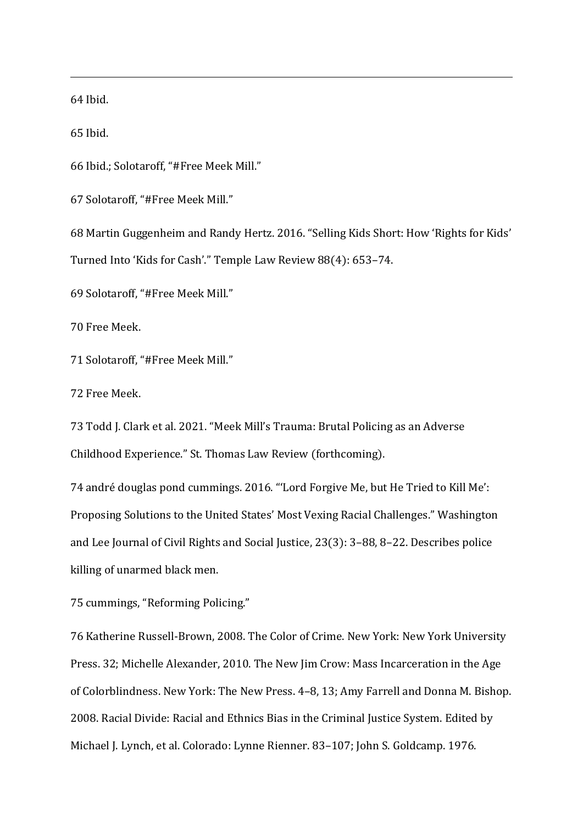64 Ibid.

65 Ibid.

66 Ibid.; Solotaroff, "#Free Meek Mill."

67 Solotaroff, "#Free Meek Mill."

68 Martin Guggenheim and Randy Hertz. 2016. "Selling Kids Short: How 'Rights for Kids' Turned Into 'Kids for Cash'." Temple Law Review 88(4): 653–74.

69 Solotaroff, "#Free Meek Mill."

70 Free Meek.

71 Solotaroff, "#Free Meek Mill."

72 Free Meek.

73 Todd J. Clark et al. 2021. "Meek Mill's Trauma: Brutal Policing as an Adverse Childhood Experience." St. Thomas Law Review (forthcoming).

74 andré douglas pond cummings. 2016. "'Lord Forgive Me, but He Tried to Kill Me': Proposing Solutions to the United States' Most Vexing Racial Challenges." Washington and Lee Journal of Civil Rights and Social Justice, 23(3): 3–88, 8–22. Describes police killing of unarmed black men.

75 cummings, "Reforming Policing."

76 Katherine Russell-Brown, 2008. The Color of Crime. New York: New York University Press. 32; Michelle Alexander, 2010. The New Jim Crow: Mass Incarceration in the Age of Colorblindness. New York: The New Press. 4–8, 13; Amy Farrell and Donna M. Bishop. 2008. Racial Divide: Racial and Ethnics Bias in the Criminal Justice System. Edited by Michael J. Lynch, et al. Colorado: Lynne Rienner. 83–107; John S. Goldcamp. 1976.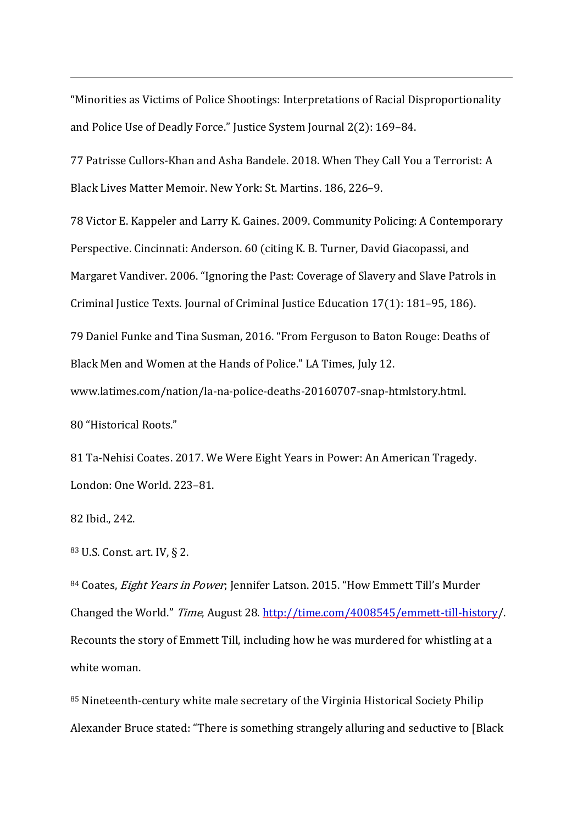"Minorities as Victims of Police Shootings: Interpretations of Racial Disproportionality and Police Use of Deadly Force." Justice System Journal 2(2): 169–84.

77 Patrisse Cullors-Khan and Asha Bandele. 2018. When They Call You a Terrorist: A Black Lives Matter Memoir. New York: St. Martins. 186, 226–9.

78 Victor E. Kappeler and Larry K. Gaines. 2009. Community Policing: A Contemporary Perspective. Cincinnati: Anderson. 60 (citing K. B. Turner, David Giacopassi, and Margaret Vandiver. 2006. "Ignoring the Past: Coverage of Slavery and Slave Patrols in Criminal Justice Texts. Journal of Criminal Justice Education 17(1): 181–95, 186).

79 Daniel Funke and Tina Susman, 2016. "From Ferguson to Baton Rouge: Deaths of Black Men and Women at the Hands of Police." LA Times, July 12.

[www.latimes.com/nation/la-na-police-deaths-20160707-snap-htmlstory.html.](http://www.latimes.com/nation/la-na-police-deaths-20160707-snap-htmlstory.html)

80 "Historical Roots."

81 Ta-Nehisi Coates. 2017. We Were Eight Years in Power: An American Tragedy. London: One World. 223–81.

82 Ibid., 242.

<sup>83</sup> U.S. Const. art. IV, § 2.

84 Coates, *Eight Years in Power*; Jennifer Latson. 2015. "How Emmett Till's Murder Changed the World." Time, August 28. [http://time.com/4008545/emmett-till-history/](http://time.com/4008545/emmett-till-history). Recounts the story of Emmett Till, including how he was murdered for whistling at a white woman.

<sup>85</sup> Nineteenth-century white male secretary of the Virginia Historical Society Philip Alexander Bruce stated: "There is something strangely alluring and seductive to [Black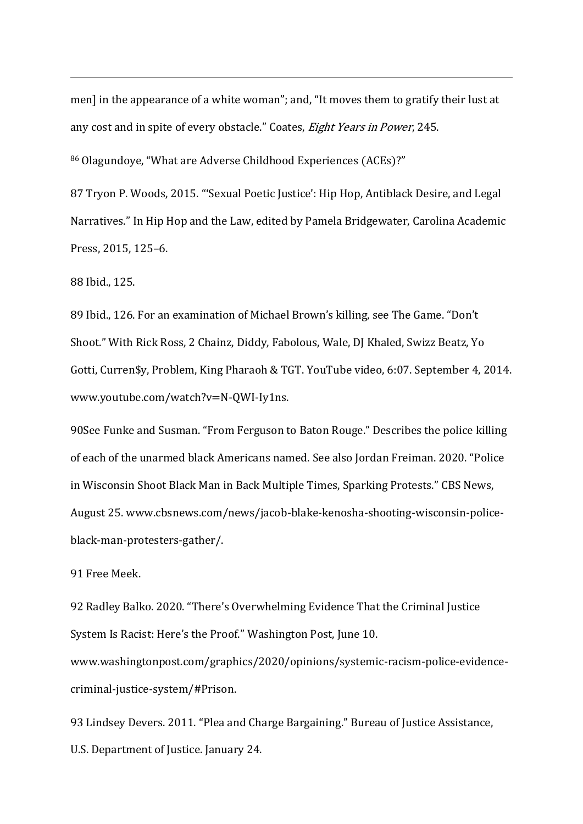men] in the appearance of a white woman"; and, "It moves them to gratify their lust at any cost and in spite of every obstacle." Coates, Eight Years in Power, 245.

<sup>86</sup> Olagundoye, "What are Adverse Childhood Experiences (ACEs)?"

87 Tryon P. Woods, 2015. "'Sexual Poetic Justice': Hip Hop, Antiblack Desire, and Legal Narratives." In Hip Hop and the Law, edited by Pamela Bridgewater, Carolina Academic Press, 2015, 125–6.

88 Ibid., 125.

89 Ibid., 126. For an examination of Michael Brown's killing, see The Game. "Don't Shoot." With Rick Ross, 2 Chainz, Diddy, Fabolous, Wale, DJ Khaled, Swizz Beatz, Yo Gotti, Curren\$y, Problem, King Pharaoh & TGT. YouTube video, 6:07. September 4, 2014. [www.youtube.com/watch?v=N-QWI-Iy1ns.](http://www.youtube.com/watch?v=N-QWI-Iy1ns)

90See Funke and Susman. "From Ferguson to Baton Rouge." Describes the police killing of each of the unarmed black Americans named. See also Jordan Freiman. 2020. "Police in Wisconsin Shoot Black Man in Back Multiple Times, Sparking Protests." CBS News, August 25. [www.cbsnews.com/news/jacob-blake-kenosha-shooting-wisconsin-police](http://www.cbsnews.com/news/jacob-blake-kenosha-shooting-wisconsin-police-black-man-protesters-gather/)[black-man-protesters-gather/.](http://www.cbsnews.com/news/jacob-blake-kenosha-shooting-wisconsin-police-black-man-protesters-gather/)

91 Free Meek.

92 Radley Balko. 2020. "There's Overwhelming Evidence That the Criminal Justice System Is Racist: Here's the Proof." Washington Post, June 10.

[www.washingtonpost.com/graphics/2020/opinions/systemic-racism-police-evidence](http://www.washingtonpost.com/graphics/2020/opinions/systemic-racism-police-evidence-criminal-justice-system/#Prison)[criminal-justice-system/#Prison.](http://www.washingtonpost.com/graphics/2020/opinions/systemic-racism-police-evidence-criminal-justice-system/#Prison)

93 Lindsey Devers. 2011. "Plea and Charge Bargaining." Bureau of Justice Assistance, U.S. Department of Justice. January 24.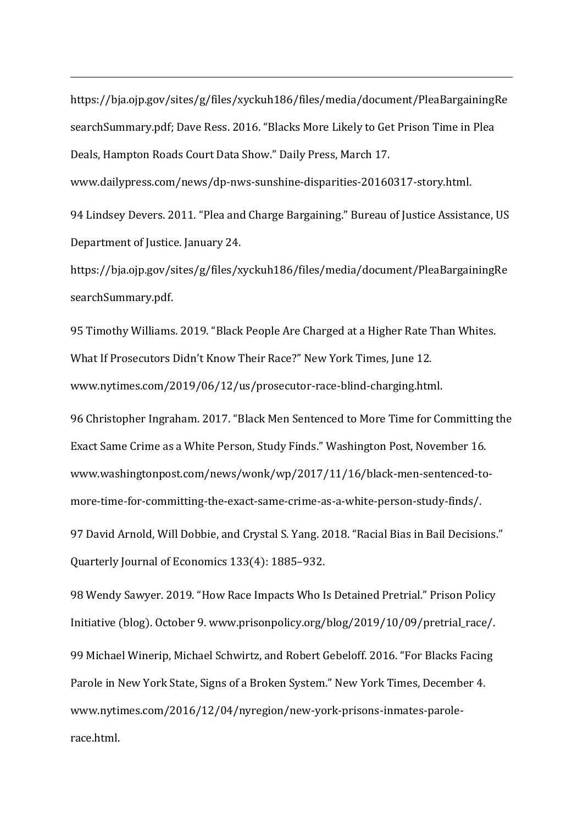[https://bja.ojp.gov/sites/g/files/xyckuh186/files/media/document/PleaBargainingRe](https://bja.ojp.gov/sites/g/files/xyckuh186/files/media/document/PleaBargainingResearchSummary.pdf) [searchSummary.pdf;](https://bja.ojp.gov/sites/g/files/xyckuh186/files/media/document/PleaBargainingResearchSummary.pdf) Dave Ress. 2016. "Blacks More Likely to Get Prison Time in Plea Deals, Hampton Roads Court Data Show." Daily Press, March 17. [www.dailypress.com/news/dp-nws-sunshine-disparities-20160317-story.html.](http://www.dailypress.com/news/dp-nws-sunshine-disparities-20160317-story.html)

94 Lindsey Devers. 2011. "Plea and Charge Bargaining." Bureau of Justice Assistance, US Department of Justice. January 24.

[https://bja.ojp.gov/sites/g/files/xyckuh186/files/media/document/PleaBargainingRe](https://bja.ojp.gov/sites/g/files/xyckuh186/files/media/document/PleaBargainingResearchSummary.pdf) [searchSummary.pdf.](https://bja.ojp.gov/sites/g/files/xyckuh186/files/media/document/PleaBargainingResearchSummary.pdf)

95 Timothy Williams. 2019. "Black People Are Charged at a Higher Rate Than Whites. What If Prosecutors Didn't Know Their Race?" New York Times, June 12. [www.nytimes.com/2019/06/12/us/prosecutor-race-blind-charging.html.](http://www.nytimes.com/2019/06/12/us/prosecutor-race-blind-charging.html)

96 Christopher Ingraham. 2017. "Black Men Sentenced to More Time for Committing the Exact Same Crime as a White Person, Study Finds." Washington Post, November 16. [www.washingtonpost.com/news/wonk/wp/2017/11/16/black-men-sentenced-to](http://www.washingtonpost.com/news/wonk/wp/2017/11/16/black-men-sentenced-to-more-time-for-committing-the-exact-same-crime-as-a-white-person-study-finds/)[more-time-for-committing-the-exact-same-crime-as-a-white-person-study-finds/.](http://www.washingtonpost.com/news/wonk/wp/2017/11/16/black-men-sentenced-to-more-time-for-committing-the-exact-same-crime-as-a-white-person-study-finds/)

97 David Arnold, Will Dobbie, and Crystal S. Yang. 2018. "Racial Bias in Bail Decisions." Quarterly Journal of Economics 133(4): 1885–932.

98 Wendy Sawyer. 2019. "How Race Impacts Who Is Detained Pretrial." Prison Policy Initiative (blog). October 9. [www.prisonpolicy.org/blog/2019/10/09/pretrial\\_race/.](http://www.prisonpolicy.org/blog/2019/10/09/pretrial_race/) 99 Michael Winerip, Michael Schwirtz, and Robert Gebeloff. 2016. "For Blacks Facing Parole in New York State, Signs of a Broken System." New York Times, December 4. [www.nytimes.com/2016/12/04/nyregion/new-york-prisons-inmates-parole](http://www.nytimes.com/2016/12/04/nyregion/new-york-prisons-inmates-parole-race.html)[race.html.](http://www.nytimes.com/2016/12/04/nyregion/new-york-prisons-inmates-parole-race.html)